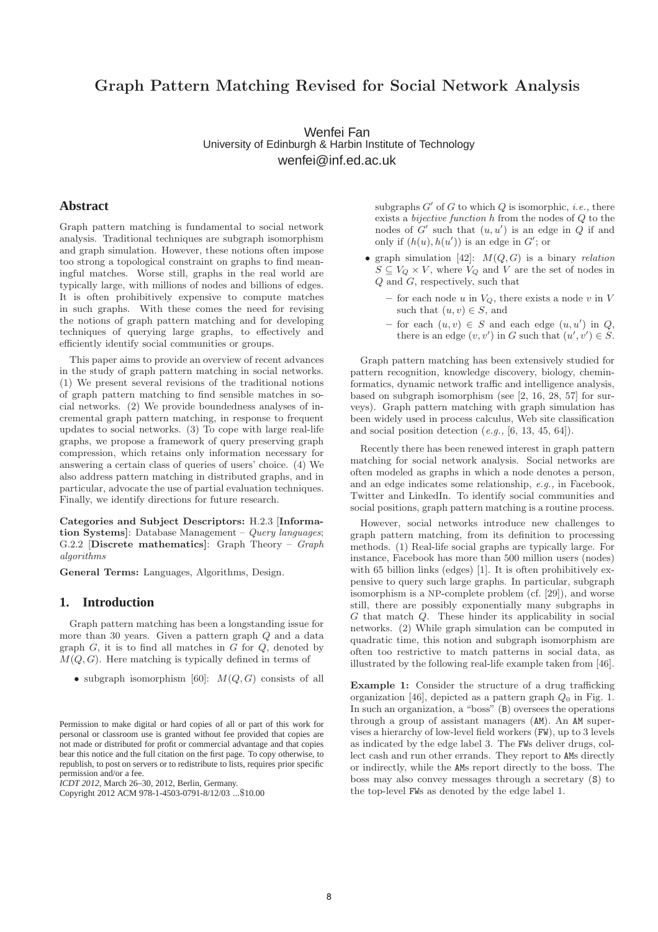# **Graph Pattern Matching Revised for Social Network Analysis**

Wenfei Fan University of Edinburgh & Harbin Institute of Technology wenfei@inf.ed.ac.uk

# **Abstract**

Graph pattern matching is fundamental to social network analysis. Traditional techniques are subgraph isomorphism and graph simulation. However, these notions often impose too strong a topological constraint on graphs to find meaningful matches. Worse still, graphs in the real world are typically large, with millions of nodes and billions of edges. It is often prohibitively expensive to compute matches in such graphs. With these comes the need for revising the notions of graph pattern matching and for developing techniques of querying large graphs, to effectively and efficiently identify social communities or groups.

This paper aims to provide an overview of recent advances in the study of graph pattern matching in social networks. (1) We present several revisions of the traditional notions of graph pattern matching to find sensible matches in social networks. (2) We provide boundedness analyses of incremental graph pattern matching, in response to frequent updates to social networks. (3) To cope with large real-life graphs, we propose a framework of query preserving graph compression, which retains only information necessary for answering a certain class of queries of users' choice. (4) We also address pattern matching in distributed graphs, and in particular, advocate the use of partial evaluation techniques. Finally, we identify directions for future research.

**Categories and Subject Descriptors:** H.2.3 [**Information Systems]**: Database Management – Query languages; G.2.2 [**Discrete mathematics]**: Graph Theory – Graph algorithms

**General Terms:** Languages, Algorithms, Design.

## **1. Introduction**

Graph pattern matching has been a longstanding issue for more than 30 years. Given a pattern graph Q and a data graph  $G$ , it is to find all matches in  $G$  for  $Q$ , denoted by  $M(Q, G)$ . Here matching is typically defined in terms of

• subgraph isomorphism [60]:  $M(Q, G)$  consists of all

*ICDT 2012*, March 26–30, 2012, Berlin, Germany.

subgraphs  $G'$  of G to which Q is isomorphic, *i.e.*, there exists a bijective function h from the nodes of Q to the nodes of  $G'$  such that  $(u, u')$  is an edge in  $Q$  if and only if  $(h(u), h(u'))$  is an edge in G'; or

- graph simulation [42]:  $M(Q, G)$  is a binary relation  $S \subseteq V_Q \times V$ , where  $V_Q$  and V are the set of nodes in Q and G, respectively, such that
	- $-$  for each node u in  $V_Q$ , there exists a node v in V such that  $(u, v) \in S$ , and
	- $-$  for each  $(u, v) \in S$  and each edge  $(u, u')$  in  $Q$ , there is an edge  $(v, v')$  in G such that  $(u', v') \in S$ .

Graph pattern matching has been extensively studied for pattern recognition, knowledge discovery, biology, cheminformatics, dynamic network traffic and intelligence analysis, based on subgraph isomorphism (see [2, 16, 28, 57] for surveys). Graph pattern matching with graph simulation has been widely used in process calculus, Web site classification and social position detection  $(e.g., [6, 13, 45, 64])$ .

Recently there has been renewed interest in graph pattern matching for social network analysis. Social networks are often modeled as graphs in which a node denotes a person, and an edge indicates some relationship, e.g., in Facebook, Twitter and LinkedIn. To identify social communities and social positions, graph pattern matching is a routine process.

However, social networks introduce new challenges to graph pattern matching, from its definition to processing methods. (1) Real-life social graphs are typically large. For instance, Facebook has more than 500 million users (nodes) with 65 billion links (edges) [1]. It is often prohibitively expensive to query such large graphs. In particular, subgraph isomorphism is a NP-complete problem (cf. [29]), and worse still, there are possibly exponentially many subgraphs in G that match Q. These hinder its applicability in social networks. (2) While graph simulation can be computed in quadratic time, this notion and subgraph isomorphism are often too restrictive to match patterns in social data, as illustrated by the following real-life example taken from [46].

**Example 1:** Consider the structure of a drug trafficking organization [46], depicted as a pattern graph  $Q_0$  in Fig. 1. In such an organization, a "boss" (B) oversees the operations through a group of assistant managers (AM). An AM supervises a hierarchy of low-level field workers (FW), up to 3 levels as indicated by the edge label 3. The FWs deliver drugs, collect cash and run other errands. They report to AMs directly or indirectly, while the AMs report directly to the boss. The boss may also convey messages through a secretary (S) to the top-level FWs as denoted by the edge label 1.

Permission to make digital or hard copies of all or part of this work for personal or classroom use is granted without fee provided that copies are not made or distributed for profit or commercial advantage and that copies bear this notice and the full citation on the first page. To copy otherwise, to republish, to post on servers or to redistribute to lists, requires prior specific permission and/or a fee.

Copyright 2012 ACM 978-1-4503-0791-8/12/03 ...\$10.00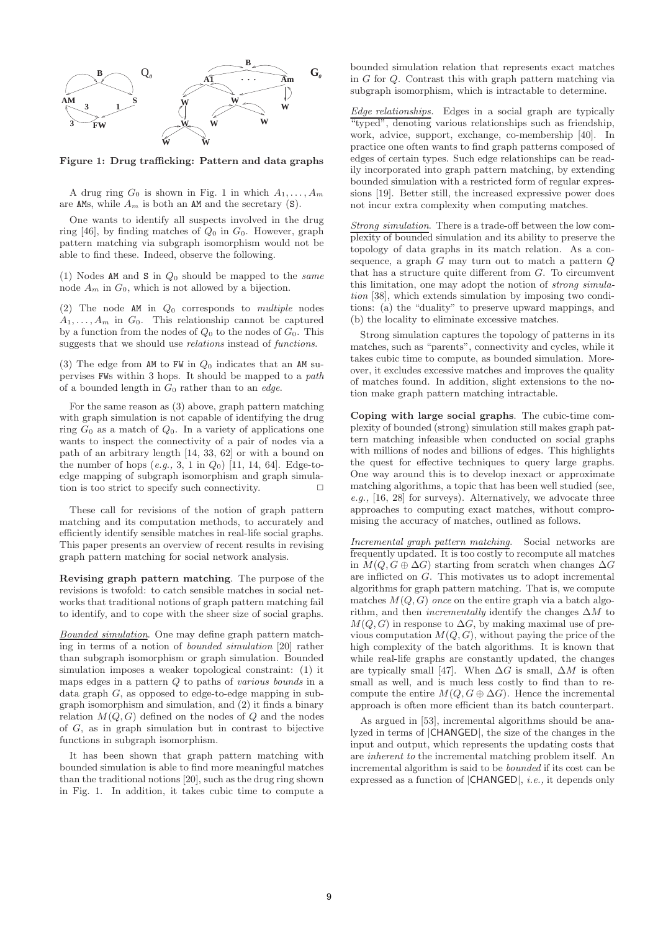

**Figure 1: Drug trafficking: Pattern and data graphs**

A drug ring  $G_0$  is shown in Fig. 1 in which  $A_1, \ldots, A_m$ are AMs, while  $A_m$  is both an AM and the secretary (S).

One wants to identify all suspects involved in the drug ring [46], by finding matches of  $Q_0$  in  $G_0$ . However, graph pattern matching via subgraph isomorphism would not be able to find these. Indeed, observe the following.

(1) Nodes AM and S in  $Q_0$  should be mapped to the *same* node  $A_m$  in  $G_0$ , which is not allowed by a bijection.

(2) The node AM in  $Q_0$  corresponds to multiple nodes  $A_1, \ldots, A_m$  in  $G_0$ . This relationship cannot be captured by a function from the nodes of  $Q_0$  to the nodes of  $G_0$ . This suggests that we should use relations instead of functions.

(3) The edge from AM to FW in  $Q_0$  indicates that an AM supervises FWs within 3 hops. It should be mapped to a path of a bounded length in  $G_0$  rather than to an *edge*.

For the same reason as (3) above, graph pattern matching with graph simulation is not capable of identifying the drug ring  $G_0$  as a match of  $Q_0$ . In a variety of applications one wants to inspect the connectivity of a pair of nodes via a path of an arbitrary length [14, 33, 62] or with a bound on the number of hops  $(e.g., 3, 1 \text{ in } Q_0)$  [11, 14, 64]. Edge-toedge mapping of subgraph isomorphism and graph simulation is too strict to specify such connectivity.  $\Box$ 

These call for revisions of the notion of graph pattern matching and its computation methods, to accurately and efficiently identify sensible matches in real-life social graphs. This paper presents an overview of recent results in revising graph pattern matching for social network analysis.

**Revising graph pattern matching**. The purpose of the revisions is twofold: to catch sensible matches in social networks that traditional notions of graph pattern matching fail to identify, and to cope with the sheer size of social graphs.

Bounded simulation. One may define graph pattern matching in terms of a notion of bounded simulation [20] rather than subgraph isomorphism or graph simulation. Bounded simulation imposes a weaker topological constraint: (1) it maps edges in a pattern Q to paths of various bounds in a data graph G, as opposed to edge-to-edge mapping in subgraph isomorphism and simulation, and (2) it finds a binary relation  $M(Q, G)$  defined on the nodes of Q and the nodes of G, as in graph simulation but in contrast to bijective functions in subgraph isomorphism.

It has been shown that graph pattern matching with bounded simulation is able to find more meaningful matches than the traditional notions [20], such as the drug ring shown in Fig. 1. In addition, it takes cubic time to compute a

bounded simulation relation that represents exact matches in G for Q. Contrast this with graph pattern matching via subgraph isomorphism, which is intractable to determine.

Edge relationships. Edges in a social graph are typically "typed", denoting various relationships such as friendship, work, advice, support, exchange, co-membership [40]. In practice one often wants to find graph patterns composed of edges of certain types. Such edge relationships can be readily incorporated into graph pattern matching, by extending bounded simulation with a restricted form of regular expressions [19]. Better still, the increased expressive power does not incur extra complexity when computing matches.

Strong simulation. There is a trade-off between the low complexity of bounded simulation and its ability to preserve the topology of data graphs in its match relation. As a consequence, a graph  $G$  may turn out to match a pattern  $Q$ that has a structure quite different from  $G$ . To circumvent this limitation, one may adopt the notion of strong simulation [38], which extends simulation by imposing two conditions: (a) the "duality" to preserve upward mappings, and (b) the locality to eliminate excessive matches.

Strong simulation captures the topology of patterns in its matches, such as "parents", connectivity and cycles, while it takes cubic time to compute, as bounded simulation. Moreover, it excludes excessive matches and improves the quality of matches found. In addition, slight extensions to the notion make graph pattern matching intractable.

**Coping with large social graphs**. The cubic-time complexity of bounded (strong) simulation still makes graph pattern matching infeasible when conducted on social graphs with millions of nodes and billions of edges. This highlights the quest for effective techniques to query large graphs. One way around this is to develop inexact or approximate matching algorithms, a topic that has been well studied (see, e.g., [16, 28] for surveys). Alternatively, we advocate three approaches to computing exact matches, without compromising the accuracy of matches, outlined as follows.

Incremental graph pattern matching. Social networks are frequently updated. It is too costly to recompute all matches in  $M(Q, G \oplus \Delta G)$  starting from scratch when changes  $\Delta G$ are inflicted on G. This motivates us to adopt incremental algorithms for graph pattern matching. That is, we compute matches  $M(Q, G)$  once on the entire graph via a batch algorithm, and then *incrementally* identify the changes  $\Delta M$  to  $M(Q, G)$  in response to  $\Delta G$ , by making maximal use of previous computation  $M(Q, G)$ , without paying the price of the high complexity of the batch algorithms. It is known that while real-life graphs are constantly updated, the changes are typically small [47]. When  $\Delta G$  is small,  $\Delta M$  is often small as well, and is much less costly to find than to recompute the entire  $M(Q, G \oplus \Delta G)$ . Hence the incremental approach is often more efficient than its batch counterpart.

As argued in [53], incremental algorithms should be analyzed in terms of |CHANGED|, the size of the changes in the input and output, which represents the updating costs that are inherent to the incremental matching problem itself. An incremental algorithm is said to be bounded if its cost can be expressed as a function of |CHANGED|, i.e., it depends only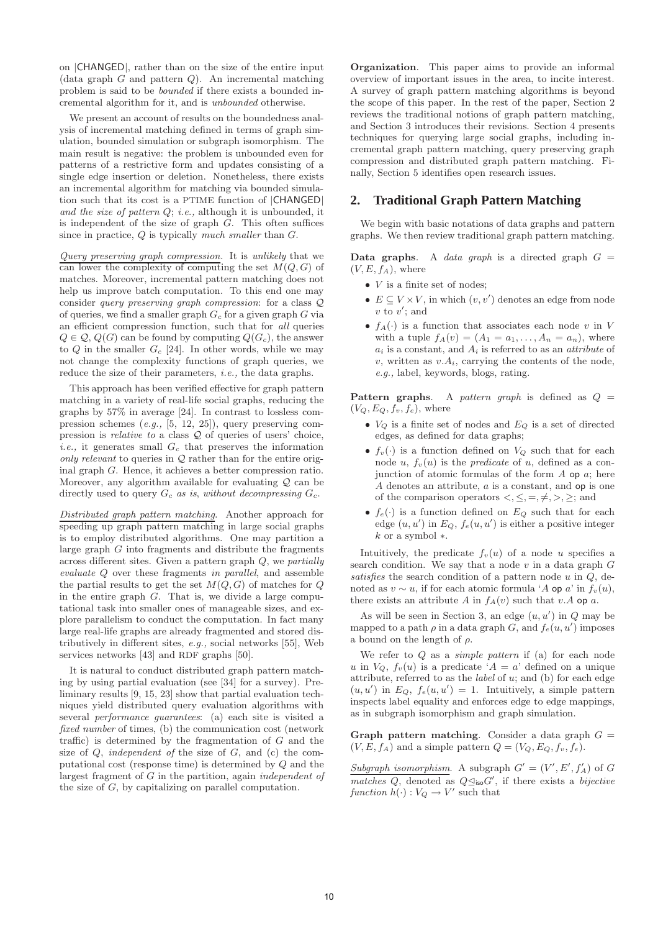on |CHANGED|, rather than on the size of the entire input  $(data graph G and pattern Q)$ . An incremental matching problem is said to be bounded if there exists a bounded incremental algorithm for it, and is unbounded otherwise.

We present an account of results on the boundedness analysis of incremental matching defined in terms of graph simulation, bounded simulation or subgraph isomorphism. The main result is negative: the problem is unbounded even for patterns of a restrictive form and updates consisting of a single edge insertion or deletion. Nonetheless, there exists an incremental algorithm for matching via bounded simulation such that its cost is a PTIME function of |CHANGED| and the size of pattern  $Q$ ; i.e., although it is unbounded, it is independent of the size of graph  $G$ . This often suffices since in practice,  $Q$  is typically much smaller than  $G$ .

Query preserving graph compression. It is unlikely that we can lower the complexity of computing the set  $M(O, G)$  of matches. Moreover, incremental pattern matching does not help us improve batch computation. To this end one may consider query preserving graph compression: for a class Q of queries, we find a smaller graph  $G_c$  for a given graph  $G$  via an efficient compression function, such that for all queries  $Q \in \mathcal{Q}, Q(G)$  can be found by computing  $Q(G_c)$ , the answer to  $Q$  in the smaller  $G_c$  [24]. In other words, while we may not change the complexity functions of graph queries, we reduce the size of their parameters, *i.e.*, the data graphs.

This approach has been verified effective for graph pattern matching in a variety of real-life social graphs, reducing the graphs by 57% in average [24]. In contrast to lossless compression schemes (e.g., [5, 12, 25]), query preserving compression is relative to a class Q of queries of users' choice, *i.e.*, it generates small  $G_c$  that preserves the information only relevant to queries in  $Q$  rather than for the entire original graph G. Hence, it achieves a better compression ratio. Moreover, any algorithm available for evaluating  $Q$  can be directly used to query  $G_c$  as is, without decompressing  $G_c$ .

Distributed graph pattern matching. Another approach for speeding up graph pattern matching in large social graphs is to employ distributed algorithms. One may partition a large graph G into fragments and distribute the fragments across different sites. Given a pattern graph Q, we partially evaluate Q over these fragments in parallel, and assemble the partial results to get the set  $M(Q, G)$  of matches for  $Q$ in the entire graph G. That is, we divide a large computational task into smaller ones of manageable sizes, and explore parallelism to conduct the computation. In fact many large real-life graphs are already fragmented and stored distributively in different sites, e.g., social networks [55], Web services networks [43] and RDF graphs [50].

It is natural to conduct distributed graph pattern matching by using partial evaluation (see [34] for a survey). Preliminary results [9, 15, 23] show that partial evaluation techniques yield distributed query evaluation algorithms with several performance guarantees: (a) each site is visited a fixed number of times, (b) the communication cost (network traffic) is determined by the fragmentation of  $G$  and the size of  $Q$ , independent of the size of  $G$ , and  $(c)$  the computational cost (response time) is determined by Q and the largest fragment of G in the partition, again independent of the size of G, by capitalizing on parallel computation.

**Organization**. This paper aims to provide an informal overview of important issues in the area, to incite interest. A survey of graph pattern matching algorithms is beyond the scope of this paper. In the rest of the paper, Section 2 reviews the traditional notions of graph pattern matching, and Section 3 introduces their revisions. Section 4 presents techniques for querying large social graphs, including incremental graph pattern matching, query preserving graph compression and distributed graph pattern matching. Finally, Section 5 identifies open research issues.

## **2. Traditional Graph Pattern Matching**

We begin with basic notations of data graphs and pattern graphs. We then review traditional graph pattern matching.

**Data graphs**. A *data graph* is a directed graph  $G =$  $(V, E, f<sub>A</sub>)$ , where

- $\bullet$  *V* is a finite set of nodes;
- $E \subseteq V \times V$ , in which  $(v, v')$  denotes an edge from node  $v$  to  $v'$ ; and
- $f_A(\cdot)$  is a function that associates each node v in V with a tuple  $f_A(v)=(A_1 = a_1,\ldots,A_n = a_n)$ , where  $a_i$  is a constant, and  $A_i$  is referred to as an *attribute* of v, written as  $v.A_i$ , carrying the contents of the node, e.g., label, keywords, blogs, rating.

**Pattern graphs**. A pattern graph is defined as  $Q =$  $(V_Q, E_Q, f_v, f_e)$ , where

- $V_Q$  is a finite set of nodes and  $E_Q$  is a set of directed edges, as defined for data graphs;
- $f_v(\cdot)$  is a function defined on  $V_Q$  such that for each node u,  $f_v(u)$  is the *predicate* of u, defined as a conjunction of atomic formulas of the form  $A$  op  $a$ ; here A denotes an attribute, a is a constant, and op is one of the comparison operators  $\langle \xi, \xi, \xi, \xi, \xi \rangle$ ; and
- $f_e(\cdot)$  is a function defined on  $E_Q$  such that for each edge  $(u, u')$  in  $E_Q$ ,  $f_e(u, u')$  is either a positive integer k or a symbol ∗.

Intuitively, the predicate  $f_v(u)$  of a node u specifies a search condition. We say that a node  $v$  in a data graph  $G$ satisfies the search condition of a pattern node  $u$  in  $Q$ , denoted as  $v \sim u$ , if for each atomic formula 'A op a' in  $f_v(u)$ , there exists an attribute A in  $f_A(v)$  such that v.A op a.

As will be seen in Section 3, an edge  $(u, u')$  in  $Q$  may be mapped to a path  $\rho$  in a data graph G, and  $f_e(u, u')$  imposes a bound on the length of  $\rho$ .

We refer to  $Q$  as a *simple pattern* if (a) for each node u in  $V_Q$ ,  $f_v(u)$  is a predicate ' $A = a$ ' defined on a unique attribute, referred to as the *label* of  $u$ ; and (b) for each edge  $(u, u')$  in  $E_Q$ ,  $f_e(u, u') = 1$ . Intuitively, a simple pattern inspects label equality and enforces edge to edge mappings, as in subgraph isomorphism and graph simulation.

**Graph pattern matching.** Consider a data graph  $G =$  $(V, E, f_A)$  and a simple pattern  $Q = (V_Q, E_Q, f_v, f_e)$ .

Subgraph isomorphism. A subgraph  $G' = (V', E', f'_A)$  of G matches Q, denoted as  $Q\leq_{\text{iso}} G'$ , if there exists a bijective function  $h(\cdot): V_Q \to V'$  such that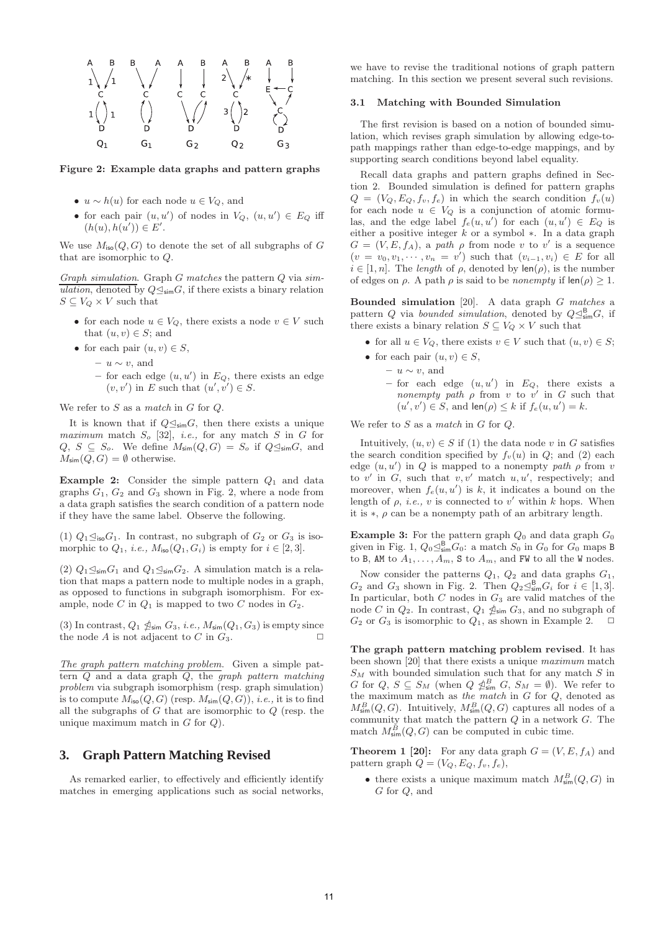

#### **Figure 2: Example data graphs and pattern graphs**

- $u \sim h(u)$  for each node  $u \in V_Q$ , and
- for each pair  $(u, u')$  of nodes in  $V_Q$ ,  $(u, u') \in E_Q$  iff  $(h(u), h(u')) \in E'.$

We use  $M_{\text{iso}}(Q, G)$  to denote the set of all subgraphs of G that are isomorphic to Q.

Graph simulation. Graph  $G$  matches the pattern  $Q$  via simulation, denoted by  $Q \leq_{\sf sim} G$ , if there exists a binary relation  $S \subseteq V_Q \times V$  such that

- for each node  $u \in V_Q$ , there exists a node  $v \in V$  such that  $(u, v) \in S$ ; and
- for each pair  $(u, v) \in S$ ,
	- **–** u ∼ v, and
	- $-$  for each edge  $(u, u')$  in  $E_Q$ , there exists an edge  $(v, v')$  in E such that  $(u', v') \in S$ .

We refer to  $S$  as a match in  $G$  for  $Q$ .

It is known that if  $Q \leq_{\text{sim}} G$ , then there exists a unique maximum match  $S_o$  [32], *i.e.*, for any match  $S$  in  $G$  for  $Q, S \subseteq S_o$ . We define  $M_{\text{sim}}(Q, G) = S_o$  if  $Q \trianglelefteq_{\text{sim}} G$ , and  $M_{\text{sim}}(Q, G) = \emptyset$  otherwise.

**Example 2:** Consider the simple pattern  $Q_1$  and data graphs  $G_1$ ,  $G_2$  and  $G_3$  shown in Fig. 2, where a node from a data graph satisfies the search condition of a pattern node if they have the same label. Observe the following.

(1)  $Q_1 \trianglelefteq_{\text{iso}} G_1$ . In contrast, no subgraph of  $G_2$  or  $G_3$  is isomorphic to  $Q_1$ , *i.e.*,  $M_{\text{iso}}(Q_1, G_i)$  is empty for  $i \in [2, 3]$ .

(2)  $Q_1 \trianglelefteq_{\text{sim}} G_1$  and  $Q_1 \trianglelefteq_{\text{sim}} G_2$ . A simulation match is a relation that maps a pattern node to multiple nodes in a graph, as opposed to functions in subgraph isomorphism. For example, node C in  $Q_1$  is mapped to two C nodes in  $G_2$ .

(3) In contrast,  $Q_1 \nleq_{\sf sim} G_3$ , *i.e.*,  $M_{\sf sim}(Q_1, G_3)$  is empty since the node A is not adjacent to C in  $G_3$ .

The graph pattern matching problem. Given a simple pattern  $Q$  and a data graph  $Q$ , the *graph pattern matching* problem via subgraph isomorphism (resp. graph simulation) is to compute  $M_{\text{iso}}(Q, G)$  (resp.  $M_{\text{sim}}(Q, G)$ ), *i.e.*, it is to find all the subgraphs of  $G$  that are isomorphic to  $Q$  (resp. the unique maximum match in  $G$  for  $Q$ ).

# **3. Graph Pattern Matching Revised**

As remarked earlier, to effectively and efficiently identify matches in emerging applications such as social networks, we have to revise the traditional notions of graph pattern matching. In this section we present several such revisions.

## **3.1 Matching with Bounded Simulation**

The first revision is based on a notion of bounded simulation, which revises graph simulation by allowing edge-topath mappings rather than edge-to-edge mappings, and by supporting search conditions beyond label equality.

Recall data graphs and pattern graphs defined in Section 2. Bounded simulation is defined for pattern graphs  $Q = (V_Q, E_Q, f_v, f_e)$  in which the search condition  $f_v(u)$ for each node  $u \in V_Q$  is a conjunction of atomic formulas, and the edge label  $f_e(u, u')$  for each  $(u, u') \in E_Q$  is either a positive integer  $k$  or a symbol  $*$ . In a data graph  $G = (V, E, f_A)$ , a path  $\rho$  from node v to v' is a sequence  $(v = v_0, v_1, \cdots, v_n = v')$  such that  $(v_{i-1}, v_i) \in E$  for all  $i \in [1, n]$ . The length of  $\rho$ , denoted by  $\text{len}(\rho)$ , is the number of edges on  $\rho$ . A path  $\rho$  is said to be *nonempty* if  $\text{len}(\rho) \geq 1$ .

**Bounded simulation** [20]. A data graph G matches a pattern Q via bounded simulation, denoted by  $Q \leq_{\sf sim}^{\sf B} G$ , if there exists a binary relation  $S \subseteq V_Q \times V$  such that

- for all  $u \in V_Q$ , there exists  $v \in V$  such that  $(u, v) \in S$ ;
- for each pair  $(u, v) \in S$ ,
	- **–** u ∼ v, and
	- $-$  for each edge  $(u, u')$  in  $E_Q$ , there exists a nonempty path  $\rho$  from v to v' in G such that  $(u', v') \in S$ , and  $\text{len}(\rho) \leq k$  if  $f_e(u, u') = k$ .

We refer to  $S$  as a match in  $G$  for  $Q$ .

Intuitively,  $(u, v) \in S$  if (1) the data node v in G satisfies the search condition specified by  $f_v(u)$  in  $Q$ ; and  $(2)$  each edge  $(u, u')$  in Q is mapped to a nonempty path  $\rho$  from v to v' in G, such that  $v, v'$  match  $u, u'$ , respectively; and moreover, when  $f_e(u, u')$  is k, it indicates a bound on the length of  $\rho$ , *i.e.*, *v* is connected to *v'* within *k* hops. When it is  $*, \rho$  can be a nonempty path of an arbitrary length.

**Example 3:** For the pattern graph  $Q_0$  and data graph  $G_0$ given in Fig. 1,  $Q_0 \leq_{\text{sim}}^{\text{B}} G_0$ : a match  $S_0$  in  $G_0$  for  $G_0$  maps B to B, AM to  $A_1, \ldots, A_m$ , S to  $A_m$ , and FW to all the W nodes.

Now consider the patterns  $Q_1$ ,  $Q_2$  and data graphs  $G_1$ ,  $G_2$  and  $G_3$  shown in Fig. 2. Then  $Q_2 \trianglelefteq_{\text{sim}}^{\text{B}} G_i$  for  $i \in [1,3]$ . In particular, both  $C$  nodes in  $G_3$  are valid matches of the node C in  $Q_2$ . In contrast,  $Q_1 \nleq_{\sf sim} G_3$ , and no subgraph of  $G_2$  or  $G_3$  is isomorphic to  $Q_1$ , as shown in Example 2.

**The graph pattern matching problem revised**. It has been shown [20] that there exists a unique maximum match  $S_M$  with bounded simulation such that for any match S in G for  $Q, S \subseteq S_M$  (when  $Q \nleq_{\text{sim}}^B G, S_M = \emptyset$ ). We refer to the maximum match as the match in  $G$  for  $Q$ , denoted as  $M^B_{\text{sim}}(Q, G)$ . Intuitively,  $M^B_{\text{sim}}(Q, G)$  captures all nodes of a community that match the pattern  $Q$  in a network  $G$ . The match  $M_{\text{sim}}^{\dot{B}}(Q, G)$  can be computed in cubic time.

**Theorem 1 [20]:** For any data graph  $G = (V, E, f_A)$  and pattern graph  $Q = (V_Q, E_Q, f_v, f_e),$ 

• there exists a unique maximum match  $M_{\text{sim}}^B(Q, G)$  in G for Q, and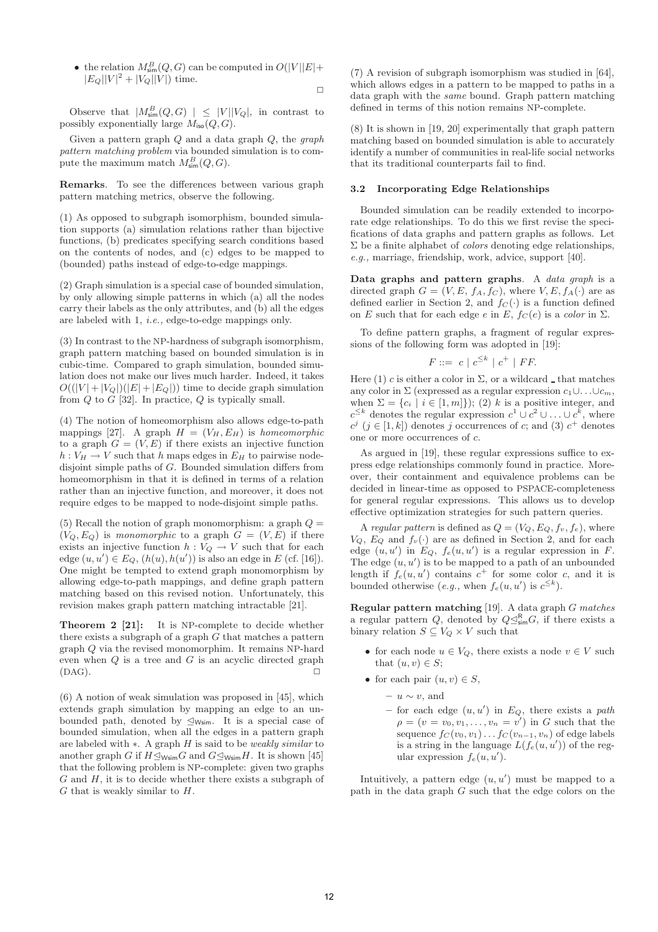• the relation  $M_{\text{sim}}^B(Q, G)$  can be computed in  $O(|V||E| +$  $|E_Q||V|^2 + |V_Q||V|$  time.  $\Box$ 

Observe that  $|M_{\text{sim}}^B(Q, G)| \leq |V| |V_Q|$ , in contrast to possibly exponentially large  $M_{\text{iso}}(Q, G)$ .

Given a pattern graph  $Q$  and a data graph  $Q$ , the graph pattern matching problem via bounded simulation is to compute the maximum match  $M_{\text{sim}}^B(Q, G)$ .

**Remarks**. To see the differences between various graph pattern matching metrics, observe the following.

(1) As opposed to subgraph isomorphism, bounded simulation supports (a) simulation relations rather than bijective functions, (b) predicates specifying search conditions based on the contents of nodes, and (c) edges to be mapped to (bounded) paths instead of edge-to-edge mappings.

(2) Graph simulation is a special case of bounded simulation, by only allowing simple patterns in which (a) all the nodes carry their labels as the only attributes, and (b) all the edges are labeled with 1, i.e., edge-to-edge mappings only.

(3) In contrast to the NP-hardness of subgraph isomorphism, graph pattern matching based on bounded simulation is in cubic-time. Compared to graph simulation, bounded simulation does not make our lives much harder. Indeed, it takes  $O((|V|+|V_Q|)(|E|+|E_Q|))$  time to decide graph simulation from  $Q$  to  $G$  [32]. In practice,  $Q$  is typically small.

(4) The notion of homeomorphism also allows edge-to-path mappings [27]. A graph  $H = (V_H, E_H)$  is homeomorphic to a graph  $G = (V, E)$  if there exists an injective function  $h: V_H \to V$  such that h maps edges in  $E_H$  to pairwise nodedisjoint simple paths of G. Bounded simulation differs from homeomorphism in that it is defined in terms of a relation rather than an injective function, and moreover, it does not require edges to be mapped to node-disjoint simple paths.

(5) Recall the notion of graph monomorphism: a graph  $Q =$  $(V_Q, E_Q)$  is monomorphic to a graph  $G = (V, E)$  if there exists an injective function  $h: V_Q \to V$  such that for each edge  $(u, u') \in E_Q$ ,  $(h(u), h(u'))$  is also an edge in E (cf. [16]). One might be tempted to extend graph monomorphism by allowing edge-to-path mappings, and define graph pattern matching based on this revised notion. Unfortunately, this revision makes graph pattern matching intractable [21].

**Theorem 2 [21]:** It is NP-complete to decide whether there exists a subgraph of a graph  $\tilde{G}$  that matches a pattern graph Q via the revised monomorphim. It remains NP-hard even when  $Q$  is a tree and  $G$  is an acyclic directed graph  $(DAG)$ .

(6) A notion of weak simulation was proposed in [45], which extends graph simulation by mapping an edge to an unbounded path, denoted by  $\leq_{\mathsf{Wsim}}$ . It is a special case of bounded simulation, when all the edges in a pattern graph are labeled with ∗. A graph H is said to be weakly similar to another graph G if  $H \leq_{\text{Wsim}} G$  and  $G \leq_{\text{Wsim}} H$ . It is shown [45] that the following problem is NP-complete: given two graphs  $G$  and  $H$ , it is to decide whether there exists a subgraph of  $G$  that is weakly similar to  $H$ .

(7) A revision of subgraph isomorphism was studied in [64], which allows edges in a pattern to be mapped to paths in a data graph with the same bound. Graph pattern matching defined in terms of this notion remains NP-complete.

(8) It is shown in [19, 20] experimentally that graph pattern matching based on bounded simulation is able to accurately identify a number of communities in real-life social networks that its traditional counterparts fail to find.

### **3.2 Incorporating Edge Relationships**

Bounded simulation can be readily extended to incorporate edge relationships. To do this we first revise the specifications of data graphs and pattern graphs as follows. Let  $\Sigma$  be a finite alphabet of *colors* denoting edge relationships, e.g., marriage, friendship, work, advice, support [40].

**Data graphs and pattern graphs**. A data graph is a directed graph  $G = (V, E, f_A, f_C)$ , where  $V, E, f_A(\cdot)$  are as defined earlier in Section 2, and  $f_C(\cdot)$  is a function defined on E such that for each edge e in E,  $f_C(e)$  is a color in  $\Sigma$ .

To define pattern graphs, a fragment of regular expressions of the following form was adopted in [19]:

$$
F ::= c \mid c^{\leq k} \mid c^+ \mid FF.
$$

Here (1) c is either a color in  $\Sigma$ , or a wildcard  $\Box$  that matches any color in  $\Sigma$  (expressed as a regular expression  $c_1 \cup \ldots \cup c_m$ , when  $\Sigma = \{c_i \mid i \in [1, m]\}$ ; (2) k is a positive integer, and  $c^{\leq k}$  denotes the regular expression  $c^1 \cup c^2 \cup \ldots \cup c^k$ , where  $c^j$  ( $j \in [1, k]$ ) denotes j occurrences of c; and (3)  $c^+$  denotes one or more occurrences of c.

As argued in [19], these regular expressions suffice to express edge relationships commonly found in practice. Moreover, their containment and equivalence problems can be decided in linear-time as opposed to PSPACE-completeness for general regular expressions. This allows us to develop effective optimization strategies for such pattern queries.

A regular pattern is defined as  $Q = (V_Q, E_Q, f_v, f_e)$ , where  $V_Q$ ,  $E_Q$  and  $f_v(\cdot)$  are as defined in Section 2, and for each edge  $(u, u')$  in  $E_Q$ ,  $f_e(u, u')$  is a regular expression in F. The edge  $(u, u')$  is to be mapped to a path of an unbounded length if  $f_e(u, u')$  contains  $c^+$  for some color c, and it is bounded otherwise (e.g., when  $f_e(u, u')$  is  $c^{\leq k}$ ).

**Regular pattern matching** [19]. A data graph G matches a regular pattern Q, denoted by  $Q \trianglelefteq_{\text{sim}}^R G$ , if there exists a binary relation  $S \subseteq V_Q \times V$  such that

- for each node  $u \in V_Q$ , there exists a node  $v \in V$  such that  $(u, v) \in S$ ;
- for each pair  $(u, v) \in S$ ,
	- **–** u ∼ v, and
	- $-$  for each edge  $(u, u')$  in  $E_Q$ , there exists a path  $\rho = (v = v_0, v_1, \ldots, v_n = v')$  in G such that the sequence  $f_C(v_0, v_1) \ldots f_C(v_{n-1}, v_n)$  of edge labels is a string in the language  $L(f_e(u, u'))$  of the regular expression  $f_e(u, u')$ .

Intuitively, a pattern edge  $(u, u')$  must be mapped to a path in the data graph G such that the edge colors on the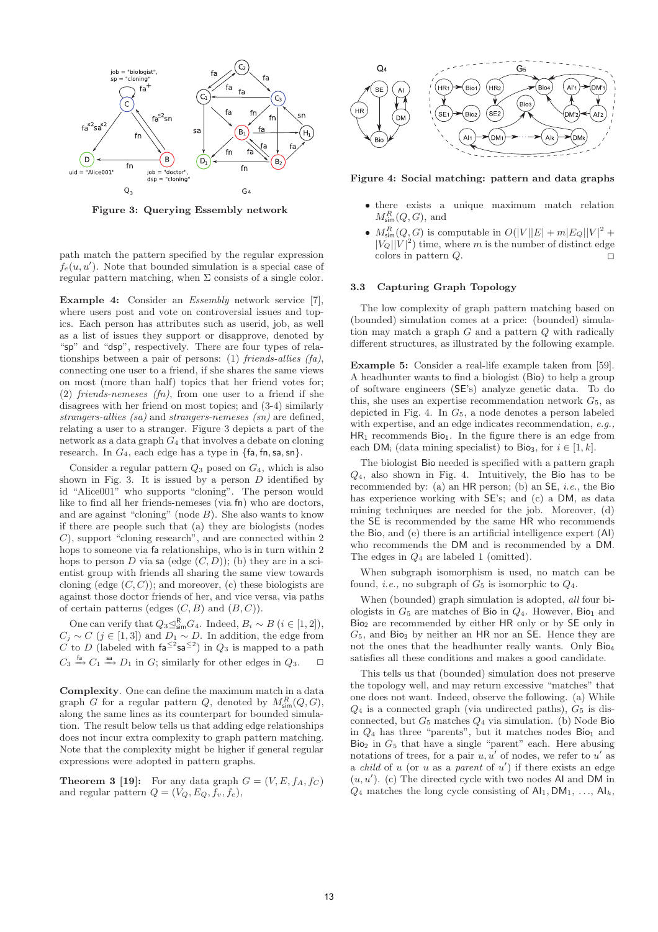

**Figure 3: Querying Essembly network**

path match the pattern specified by the regular expression  $f_e(u, u')$ . Note that bounded simulation is a special case of regular pattern matching, when  $\Sigma$  consists of a single color.

**Example 4:** Consider an *Essembly* network service [7], where users post and vote on controversial issues and topics. Each person has attributes such as userid, job, as well as a list of issues they support or disapprove, denoted by "sp" and "dsp", respectively. There are four types of relationships between a pair of persons: (1) friends-allies  $(fa)$ , connecting one user to a friend, if she shares the same views on most (more than half) topics that her friend votes for; (2) friends-nemeses (fn), from one user to a friend if she disagrees with her friend on most topics; and (3-4) similarly strangers-allies (sa) and strangers-nemeses (sn) are defined, relating a user to a stranger. Figure 3 depicts a part of the network as a data graph  $G_4$  that involves a debate on cloning research. In  $G_4$ , each edge has a type in  $\{\text{fa}, \text{fn}, \text{sa}, \text{sn}\}.$ 

Consider a regular pattern  $Q_3$  posed on  $G_4$ , which is also shown in Fig. 3. It is issued by a person  $D$  identified by id "Alice001" who supports "cloning". The person would like to find all her friends-nemeses (via fn) who are doctors, and are against "cloning" (node  $B$ ). She also wants to know if there are people such that (a) they are biologists (nodes C), support "cloning research", and are connected within 2 hops to someone via fa relationships, who is in turn within 2 hops to person D via sa (edge  $(C, D)$ ); (b) they are in a scientist group with friends all sharing the same view towards cloning (edge  $(C, C)$ ); and moreover, (c) these biologists are against those doctor friends of her, and vice versa, via paths of certain patterns (edges  $(C, B)$  and  $(B, C)$ ).

One can verify that  $Q_3 \trianglelefteq_{\text{sim}}^R G_4$ . Indeed,  $B_i \sim B$   $(i \in [1, 2]),$  $C_j \sim C$  (j ∈ [1,3]) and  $D_1 \sim D$ . In addition, the edge from C to D (labeled with  $fa^{\leq 2}$ sa<sup> $\leq 2$ </sup>) in  $Q_3$  is mapped to a path  $C_3 \xrightarrow{fa} C_1 \xrightarrow{sa} D_1$  in  $G$ ; similarly for other edges in  $Q_3$ .  $\Box$ 

**Complexity**. One can define the maximum match in a data graph G for a regular pattern Q, denoted by  $M_{\text{sim}}^R(Q, G)$ , along the same lines as its counterpart for bounded simulation. The result below tells us that adding edge relationships does not incur extra complexity to graph pattern matching. Note that the complexity might be higher if general regular expressions were adopted in pattern graphs.

**Theorem 3 [19]:** For any data graph  $G = (V, E, f_A, f_C)$ and regular pattern  $Q = (V_Q, E_Q, f_v, f_e)$ ,



**Figure 4: Social matching: pattern and data graphs**

- there exists a unique maximum match relation  $M^R_{\text{sim}}(Q, G)$ , and
- $M_{\text{sim}}^R(Q, G)$  is computable in  $O(|V||E| + m|E_Q||V|^2 +$  $|V_Q||V|^2$ ) time, where m is the number of distinct edge colors in pattern  $Q$ .

#### **3.3 Capturing Graph Topology**

The low complexity of graph pattern matching based on (bounded) simulation comes at a price: (bounded) simulation may match a graph  $G$  and a pattern  $Q$  with radically different structures, as illustrated by the following example.

**Example 5:** Consider a real-life example taken from [59]. A headhunter wants to find a biologist (Bio) to help a group of software engineers (SE's) analyze genetic data. To do this, she uses an expertise recommendation network  $G<sub>5</sub>$ , as depicted in Fig. 4. In  $G_5$ , a node denotes a person labeled with expertise, and an edge indicates recommendation, e.g.,  $HR_1$  recommends  $Bio_1$ . In the figure there is an edge from each DM<sub>i</sub> (data mining specialist) to Bio<sub>3</sub>, for  $i \in [1, k]$ .

The biologist Bio needed is specified with a pattern graph  $Q_4$ , also shown in Fig. 4. Intuitively, the Bio has to be recommended by: (a) an  $HR$  person; (b) an  $SE$ , *i.e.*, the Bio has experience working with  $SE$ 's; and (c) a DM, as data mining techniques are needed for the job. Moreover, (d) the SE is recommended by the same HR who recommends the Bio, and (e) there is an artificial intelligence expert (AI) who recommends the DM and is recommended by a DM. The edges in  $Q_4$  are labeled 1 (omitted).

When subgraph isomorphism is used, no match can be found, *i.e.*, no subgraph of  $G_5$  is isomorphic to  $Q_4$ .

When (bounded) graph simulation is adopted, all four biologists in  $G_5$  are matches of Bio in  $Q_4$ . However, Bio<sub>1</sub> and Bio<sup>2</sup> are recommended by either HR only or by SE only in  $G_5$ , and Bio<sub>3</sub> by neither an HR nor an SE. Hence they are not the ones that the headhunter really wants. Only Bio<sup>4</sup> satisfies all these conditions and makes a good candidate.

This tells us that (bounded) simulation does not preserve the topology well, and may return excessive "matches" that one does not want. Indeed, observe the following. (a) While  $Q_4$  is a connected graph (via undirected paths),  $G_5$  is disconnected, but  $G_5$  matches  $Q_4$  via simulation. (b) Node Bio in  $Q_4$  has three "parents", but it matches nodes Bio<sub>1</sub> and  $\overrightarrow{Bo_2}$  in  $G_5$  that have a single "parent" each. Here abusing notations of trees, for a pair  $u, u'$  of nodes, we refer to  $u'$  as a *child* of  $u$  (or  $u$  as a *parent* of  $u'$ ) if there exists an edge  $(u, u')$ . (c) The directed cycle with two nodes AI and DM in  $Q_4$  matches the long cycle consisting of  $\mathsf{Al}_1, \mathsf{DM}_1, \ldots, \mathsf{Al}_k$ ,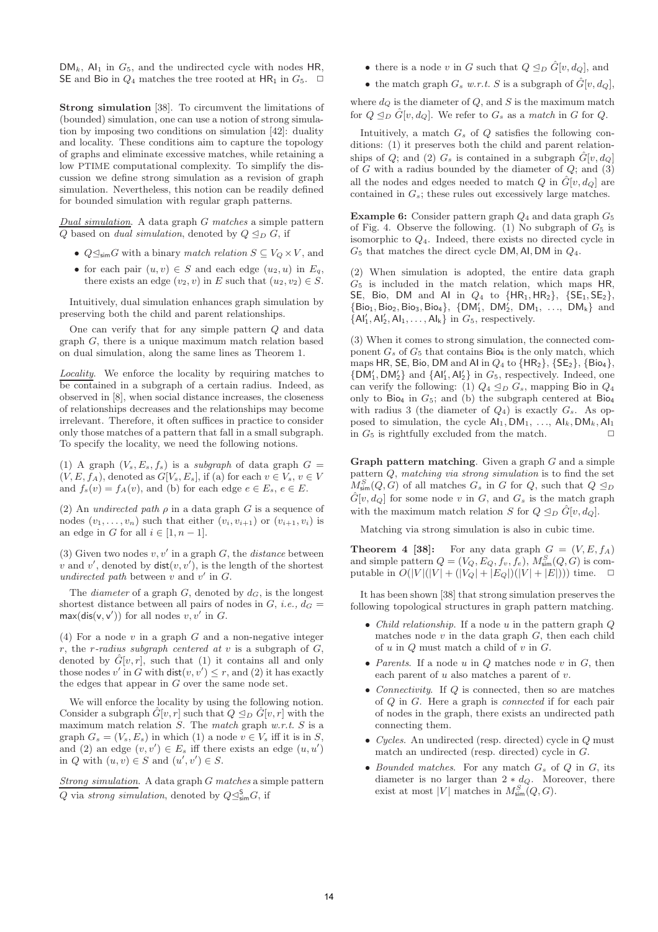$DM_k$ ,  $Al_1$  in  $G_5$ , and the undirected cycle with nodes HR, SE and Bio in  $Q_4$  matches the tree rooted at HR<sub>1</sub> in  $G_5$ .  $\Box$ 

**Strong simulation** [38]. To circumvent the limitations of (bounded) simulation, one can use a notion of strong simulation by imposing two conditions on simulation [42]: duality and locality. These conditions aim to capture the topology of graphs and eliminate excessive matches, while retaining a low PTIME computational complexity. To simplify the discussion we define strong simulation as a revision of graph simulation. Nevertheless, this notion can be readily defined for bounded simulation with regular graph patterns.

Dual simulation. A data graph  $G$  matches a simple pattern Q based on *dual simulation*, denoted by  $Q \trianglelefteq_D G$ , if

- $Q \leq_{\text{sim}} G$  with a binary match relation  $S \subseteq V_Q \times V$ , and
- for each pair  $(u, v) \in S$  and each edge  $(u_2, u)$  in  $E_q$ , there exists an edge  $(v_2, v)$  in E such that  $(u_2, v_2) \in S$ .

Intuitively, dual simulation enhances graph simulation by preserving both the child and parent relationships.

One can verify that for any simple pattern Q and data graph G, there is a unique maximum match relation based on dual simulation, along the same lines as Theorem 1.

Locality. We enforce the locality by requiring matches to be contained in a subgraph of a certain radius. Indeed, as observed in [8], when social distance increases, the closeness of relationships decreases and the relationships may become irrelevant. Therefore, it often suffices in practice to consider only those matches of a pattern that fall in a small subgraph. To specify the locality, we need the following notions.

(1) A graph  $(V_s, E_s, f_s)$  is a subgraph of data graph  $G =$  $(V, E, f_A)$ , denoted as  $G[V_s, E_s]$ , if (a) for each  $v \in V_s$ ,  $v \in V$ and  $f_s(v) = f_A(v)$ , and (b) for each edge  $e \in E_s$ ,  $e \in E$ .

(2) An *undirected path*  $\rho$  in a data graph G is a sequence of nodes  $(v_1,\ldots,v_n)$  such that either  $(v_i,v_{i+1})$  or  $(v_{i+1},v_i)$  is an edge in G for all  $i \in [1, n-1]$ .

(3) Given two nodes  $v, v'$  in a graph  $G$ , the *distance* between v and v', denoted by  $dist(v, v')$ , is the length of the shortest undirected path between  $v$  and  $v'$  in  $G$ .

The *diameter* of a graph  $G$ , denoted by  $d_G$ , is the longest shortest distance between all pairs of nodes in  $G$ , *i.e.*,  $d_G$  $max(di**s**(v, v'))$  for all nodes  $v, v'$  in  $G$ .

(4) For a node  $v$  in a graph  $G$  and a non-negative integer r, the r-radius subgraph centered at  $v$  is a subgraph of  $G$ , denoted by  $\tilde{G}[v, r]$ , such that (1) it contains all and only those nodes  $v'$  in G with  $dist(v, v') \leq r$ , and (2) it has exactly the edges that appear in G over the same node set.

We will enforce the locality by using the following notion. Consider a subgraph  $\hat{G}[v, r]$  such that  $Q \leq_D \hat{G}[v, r]$  with the maximum match relation  $S$ . The match graph w.r.t.  $S$  is a graph  $G_s = (V_s, E_s)$  in which (1) a node  $v \in V_s$  iff it is in S, and (2) an edge  $(v, v') \in E_s$  iff there exists an edge  $(u, u')$ in Q with  $(u, v) \in S$  and  $(u', v') \in S$ .

Strong simulation. A data graph G matches a simple pattern Q via strong simulation, denoted by  $Q \leq_{\sf sim}^{\sf S} G$ , if

- there is a node v in G such that  $Q \trianglelefteq_D \hat{G}[v, d_Q]$ , and
- the match graph  $G_s$  w.r.t. S is a subgraph of  $\hat{G}[v, d_{\Omega}]$ ,

where  $d_Q$  is the diameter of  $Q$ , and  $S$  is the maximum match for  $Q \trianglelefteq_D \hat{G}[v, d_Q]$ . We refer to  $G_s$  as a match in G for Q.

Intuitively, a match  $G_s$  of  $Q$  satisfies the following conditions: (1) it preserves both the child and parent relationships of Q; and (2)  $G_s$  is contained in a subgraph  $\hat{G}[v, d_Q]$ of  $G$  with a radius bounded by the diameter of  $Q$ ; and  $(3)$ all the nodes and edges needed to match Q in  $\hat{G}[v, d_{Q}]$  are contained in  $G_s$ ; these rules out excessively large matches.

**Example 6:** Consider pattern graph  $Q_4$  and data graph  $G_5$ of Fig. 4. Observe the following. (1) No subgraph of  $G_5$  is isomorphic to  $Q_4$ . Indeed, there exists no directed cycle in  $G_5$  that matches the direct cycle DM, AI, DM in  $Q_4$ .

(2) When simulation is adopted, the entire data graph  $G<sub>5</sub>$  is included in the match relation, which maps HR, SE, Bio, DM and Al in  $Q_4$  to  $\{HR_1, HR_2\}$ ,  $\{SE_1, SE_2\}$ ,  $\{Bio_1, Bio_2, Bio_3, Bio_4\}, \{ DM'_1, DM'_2, DM_1, ..., DM_k \}$  and  ${AI'_1, AI'_2, AI_1, \ldots, AI_k}$  in  $G_5$ , respectively.

(3) When it comes to strong simulation, the connected component  $G_s$  of  $G_5$  that contains  $\text{Bio}_4$  is the only match, which maps HR, SE, Bio, DM and Al in  $Q_4$  to  $\{HR_2\}$ ,  $\{SE_2\}$ ,  $\{Bio_4\}$ ,  $\{DM'_1, DM'_2\}$  and  $\{Al'_1, Al'_2\}$  in  $G_5$ , respectively. Indeed, one can verify the following: (1)  $Q_4 \trianglelefteq_D G_s$ , mapping Bio in  $Q_4$ only to Bio<sub>4</sub> in  $G_5$ ; and (b) the subgraph centered at Bio<sub>4</sub> with radius 3 (the diameter of  $Q_4$ ) is exactly  $G_s$ . As opposed to simulation, the cycle  $\mathsf{Al}_1, \mathsf{DM}_1, \ldots, \mathsf{Al}_k, \mathsf{DM}_k, \mathsf{Al}_1$ in  $G_5$  is rightfully excluded from the match.  $\Box$ 

**Graph pattern matching**. Given a graph G and a simple pattern Q, matching via strong simulation is to find the set  $M^S_{\text{sim}}(Q, G)$  of all matches  $G_s$  in G for Q, such that  $Q \leq_D$  $\hat{G}[v, d_{Q}]$  for some node v in G, and  $G_s$  is the match graph with the maximum match relation S for  $Q \trianglelefteq_D \hat{G}[v, d_Q]$ .

Matching via strong simulation is also in cubic time.

**Theorem 4 [38]:** For any data graph  $G = (V, E, f_A)$ and simple pattern  $Q = (V_Q, E_Q, f_v, f_e), M_{sim}^S(Q, G)$  is computable in  $O(|V|(|V| + (|V_Q| + |E_Q|)(|V| + |E|)))$  time.  $\Box$ 

It has been shown [38] that strong simulation preserves the following topological structures in graph pattern matching.

- *Child relationship*. If a node u in the pattern graph Q matches node  $v$  in the data graph  $G$ , then each child of  $u$  in  $Q$  must match a child of  $v$  in  $G$ .
- Parents. If a node  $u$  in  $Q$  matches node  $v$  in  $G$ , then each parent of  $u$  also matches a parent of  $v$ .
- *Connectivity*. If Q is connected, then so are matches of Q in G. Here a graph is connected if for each pair of nodes in the graph, there exists an undirected path connecting them.
- Cycles. An undirected (resp. directed) cycle in Q must match an undirected (resp. directed) cycle in G.
- Bounded matches. For any match  $G_s$  of  $Q$  in  $G$ , its diameter is no larger than  $2 * d_Q$ . Moreover, there exist at most |V| matches in  $M_{\text{sim}}^S(Q, G)$ .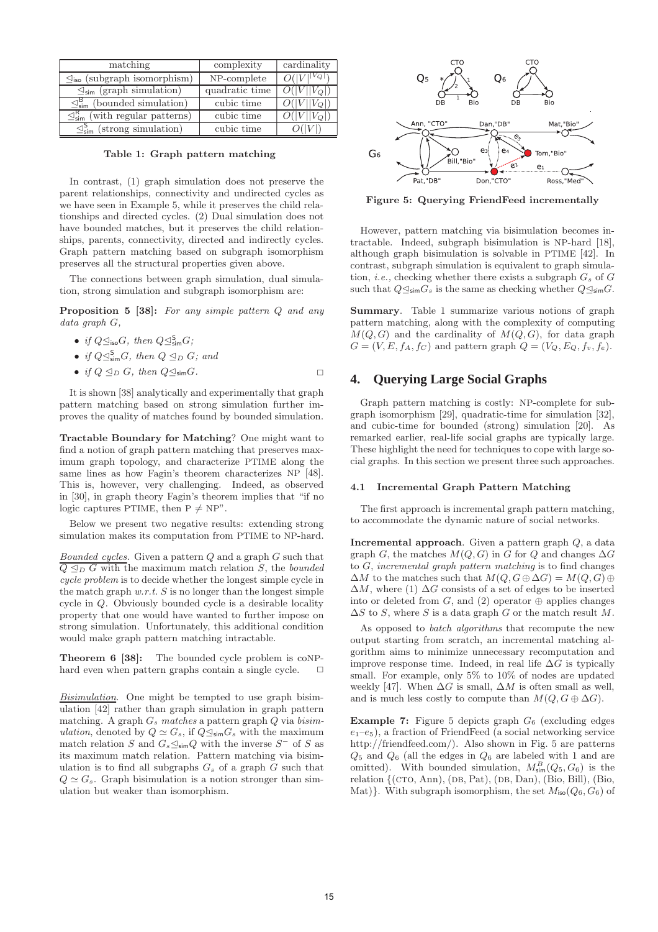| matching                                                   | complexity     | cardinality              |
|------------------------------------------------------------|----------------|--------------------------|
| $\mathcal{Q}_{\text{iso}}$ (subgraph isomorphism)          | NP-complete    | $O( V ^{ V_Q })$         |
| $\mathcal{Q}_{sim}$ (graph simulation)                     | quadratic time | $O( V  V_0 )$            |
| $\mathcal{Q}_{\text{sim}}^{\text{B}}$ (bounded simulation) | cubic time     | $O( V  V_O )$            |
| $\mathcal{Q}_{sim}^R$ (with regular patterns)              | cubic time     | $\overline{O( V } V_O )$ |
| $\leq^5_{\rm sim}$ (strong simulation)                     | cubic time     |                          |

**Table 1: Graph pattern matching**

In contrast, (1) graph simulation does not preserve the parent relationships, connectivity and undirected cycles as we have seen in Example 5, while it preserves the child relationships and directed cycles. (2) Dual simulation does not have bounded matches, but it preserves the child relationships, parents, connectivity, directed and indirectly cycles. Graph pattern matching based on subgraph isomorphism preserves all the structural properties given above.

The connections between graph simulation, dual simulation, strong simulation and subgraph isomorphism are:

**Proposition 5 [38]:** For any simple pattern Q and any data graph G,

- if  $Q \trianglelefteq_{\text{iso}} G$ , then  $Q \trianglelefteq_{\text{sim}}^{\text{S}} G$ ;
- if  $Q \trianglelefteq^S_{\text{sim}} G$ , then  $Q \trianglelefteq_D G$ ; and
- if  $Q \leq_D G$ , then  $Q \leq_{\sf sim} G$ .

It is shown [38] analytically and experimentally that graph pattern matching based on strong simulation further improves the quality of matches found by bounded simulation.

**Tractable Boundary for Matching**? One might want to find a notion of graph pattern matching that preserves maximum graph topology, and characterize PTIME along the same lines as how Fagin's theorem characterizes NP [48]. This is, however, very challenging. Indeed, as observed in [30], in graph theory Fagin's theorem implies that "if no logic captures PTIME, then  $P \neq NP$ ".

Below we present two negative results: extending strong simulation makes its computation from PTIME to NP-hard.

Bounded cycles. Given a pattern  $Q$  and a graph  $G$  such that  $\overline{Q \trianglelefteq_D G}$  with the maximum match relation  $S$ , the bounded cycle problem is to decide whether the longest simple cycle in the match graph  $w.r.t. S$  is no longer than the longest simple cycle in Q. Obviously bounded cycle is a desirable locality property that one would have wanted to further impose on strong simulation. Unfortunately, this additional condition would make graph pattern matching intractable.

**Theorem 6 [38]:** The bounded cycle problem is coNPhard even when pattern graphs contain a single cycle.  $\Box$ 

Bisimulation. One might be tempted to use graph bisimulation [42] rather than graph simulation in graph pattern matching. A graph  $G_s$  matches a pattern graph  $Q$  via bisimulation, denoted by  $Q \simeq G_s$ , if  $Q \leq_{\sf sim} G_s$  with the maximum match relation S and  $G_s \trianglelefteq_{sim} Q$  with the inverse  $S^-$  of S as its maximum match relation. Pattern matching via bisimulation is to find all subgraphs  $G_s$  of a graph  $G$  such that  $Q \simeq G_s$ . Graph bisimulation is a notion stronger than simulation but weaker than isomorphism.



**Figure 5: Querying FriendFeed incrementally**

However, pattern matching via bisimulation becomes intractable. Indeed, subgraph bisimulation is NP-hard [18], although graph bisimulation is solvable in PTIME [42]. In contrast, subgraph simulation is equivalent to graph simulation, *i.e.*, checking whether there exists a subgraph  $G_s$  of  $G$ such that  $Q \leq_{\text{sim}} G_s$  is the same as checking whether  $Q \leq_{\text{sim}} G$ .

**Summary**. Table 1 summarize various notions of graph pattern matching, along with the complexity of computing  $M(Q, G)$  and the cardinality of  $M(Q, G)$ , for data graph  $G = (V, E, f_A, f_C)$  and pattern graph  $Q = (V_Q, E_Q, f_v, f_e)$ .

## **4. Querying Large Social Graphs**

Graph pattern matching is costly: NP-complete for subgraph isomorphism [29], quadratic-time for simulation [32], and cubic-time for bounded (strong) simulation [20]. As remarked earlier, real-life social graphs are typically large. These highlight the need for techniques to cope with large social graphs. In this section we present three such approaches.

#### **4.1 Incremental Graph Pattern Matching**

The first approach is incremental graph pattern matching, to accommodate the dynamic nature of social networks.

**Incremental approach**. Given a pattern graph Q, a data graph G, the matches  $M(Q, G)$  in G for Q and changes  $\Delta G$ to G, incremental graph pattern matching is to find changes  $\Delta M$  to the matches such that  $M(Q, G \oplus \Delta G) = M(Q, G) \oplus$  $\Delta M$ , where (1)  $\Delta G$  consists of a set of edges to be inserted into or deleted from  $G$ , and  $(2)$  operator  $\oplus$  applies changes  $\Delta S$  to S, where S is a data graph G or the match result M.

As opposed to batch algorithms that recompute the new output starting from scratch, an incremental matching algorithm aims to minimize unnecessary recomputation and improve response time. Indeed, in real life  $\Delta G$  is typically small. For example, only 5% to 10% of nodes are updated weekly [47]. When  $\Delta G$  is small,  $\Delta M$  is often small as well. and is much less costly to compute than  $M(Q, G \oplus \Delta G)$ .

**Example 7:** Figure 5 depicts graph  $G_6$  (excluding edges  $e_1-e_5$ ), a fraction of FriendFeed (a social networking service http://friendfeed.com/). Also shown in Fig. 5 are patterns  $Q_5$  and  $Q_6$  (all the edges in  $Q_6$  are labeled with 1 and are omitted). With bounded simulation,  $M_{\text{sim}}^B(Q_5, G_6)$  is the relation  $\{(\text{CTO}, \text{Ann}), (\text{DB}, \text{Pat}), (\text{DB}, \text{Dan}), (\text{Bio}, \text{Bill}), (\text{Bio}, \text{th)}\}$ Mat)}. With subgraph isomorphism, the set  $M_{\text{iso}}(Q_6, G_6)$  of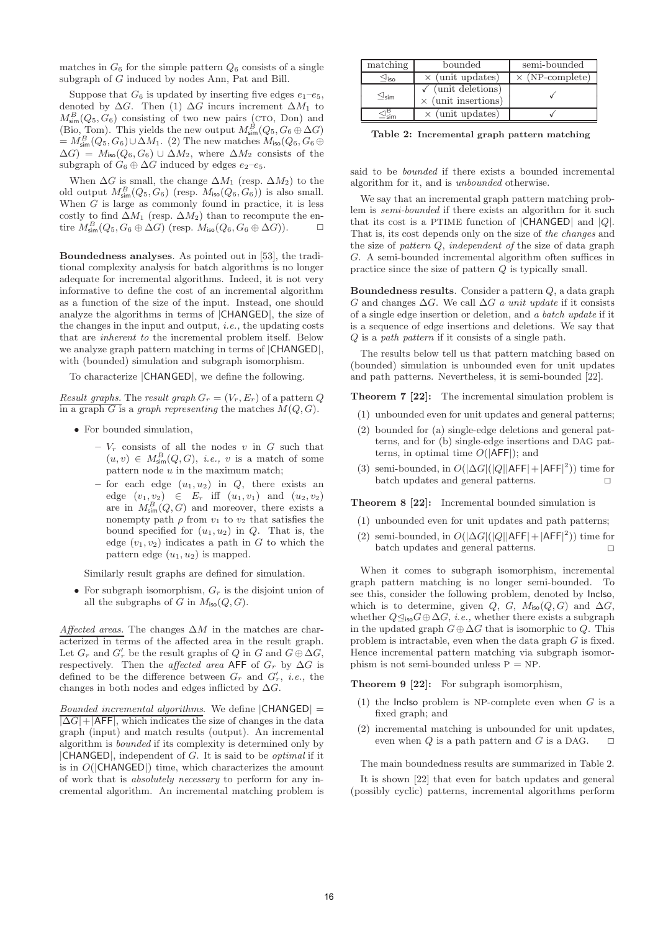matches in  $G_6$  for the simple pattern  $Q_6$  consists of a single subgraph of G induced by nodes Ann, Pat and Bill.

Suppose that  $G_6$  is updated by inserting five edges  $e_1-e_5$ , denoted by  $\Delta G$ . Then (1)  $\Delta G$  incurs increment  $\Delta M_1$  to  $M_{\text{sim}}^B(Q_5, G_6)$  consisting of two new pairs (CTO, Don) and (Bio, Tom). This yields the new output  $M_{\text{sim}}^B(Q_5, G_6 \oplus \Delta G)$  $= M_{\text{sim}}^B(Q_5, G_6) \cup \Delta M_1$ . (2) The new matches  $M_{\text{iso}}(Q_6, G_6 \oplus$  $\Delta G$ ) =  $M_{\text{iso}}(Q_6, G_6) \cup \Delta M_2$ , where  $\Delta M_2$  consists of the subgraph of  $G_6 \oplus \Delta G$  induced by edges  $e_2-e_5$ .

When  $\Delta G$  is small, the change  $\Delta M_1$  (resp.  $\Delta M_2$ ) to the old output  $M_{\text{sim}}^B(Q_5, G_6)$  (resp.  $M_{\text{iso}}(Q_6, G_6)$ ) is also small. When  $G$  is large as commonly found in practice, it is less costly to find  $\Delta M_1$  (resp.  $\Delta M_2$ ) than to recompute the entire  $M_{\text{sim}}^B(Q_5, G_6 \oplus \Delta G)$  (resp.  $M_{\text{iso}}(Q_6, G_6 \oplus \Delta G)$ ).  $\Box$ 

**Boundedness analyses**. As pointed out in [53], the traditional complexity analysis for batch algorithms is no longer adequate for incremental algorithms. Indeed, it is not very informative to define the cost of an incremental algorithm as a function of the size of the input. Instead, one should analyze the algorithms in terms of |CHANGED|, the size of the changes in the input and output, i.e., the updating costs that are inherent to the incremental problem itself. Below we analyze graph pattern matching in terms of |CHANGED|, with (bounded) simulation and subgraph isomorphism.

To characterize |CHANGED|, we define the following.

Result graphs. The result graph  $G_r = (V_r, E_r)$  of a pattern Q in a graph G is a graph representing the matches  $M(Q, G)$ .

- For bounded simulation,
	- $-V_r$  consists of all the nodes v in G such that  $(u, v) \in M^B_{\text{sim}}(Q, G),$  *i.e.*, *v* is a match of some pattern node  $u$  in the maximum match;
	- $-$  for each edge  $(u_1, u_2)$  in  $Q$ , there exists an edge  $(v_1, v_2) \in E_r$  iff  $(u_1, v_1)$  and  $(u_2, v_2)$ are in  $M_{\text{sim}}^B(Q, G)$  and moreover, there exists a nonempty path  $\rho$  from  $v_1$  to  $v_2$  that satisfies the bound specified for  $(u_1, u_2)$  in  $Q$ . That is, the edge  $(v_1, v_2)$  indicates a path in G to which the pattern edge  $(u_1, u_2)$  is mapped.

Similarly result graphs are defined for simulation.

• For subgraph isomorphism,  $G_r$  is the disjoint union of all the subgraphs of G in  $M_{\text{iso}}(Q, G)$ .

Affected areas. The changes  $\Delta M$  in the matches are characterized in terms of the affected area in the result graph. Let  $G_r$  and  $G'_r$  be the result graphs of Q in G and  $G \oplus \Delta G$ , respectively. Then the affected area AFF of  $G_r$  by  $\Delta G$  is defined to be the difference between  $G_r$  and  $G'_r$ , *i.e.*, the changes in both nodes and edges inflicted by  $\Delta G$ .

*Bounded incremental algorithms.* We define  $|CHANGED|$  =  $|\Delta G| + |\text{AFF}|$ , which indicates the size of changes in the data graph (input) and match results (output). An incremental algorithm is bounded if its complexity is determined only by  $|CHANGED|$ , independent of G. It is said to be *optimal* if it is in  $O(|\mathsf{CHANGED}|)$  time, which characterizes the amount of work that is absolutely necessary to perform for any incremental algorithm. An incremental matching problem is

| matching                                                | bounded                                                     | semi-bounded           |
|---------------------------------------------------------|-------------------------------------------------------------|------------------------|
|                                                         | $\times$ (unit updates)                                     | $\times$ (NP-complete) |
| $\mathrel{\mathop{\triangle}\!\!\!\!\triangleleft}$ sim | $\checkmark$ (unit deletions)<br>$\times$ (unit insertions) |                        |
|                                                         | $\times$ (unit updates)                                     |                        |

**Table 2: Incremental graph pattern matching**

said to be *bounded* if there exists a bounded incremental algorithm for it, and is unbounded otherwise.

We say that an incremental graph pattern matching problem is *semi-bounded* if there exists an algorithm for it such that its cost is a PTIME function of  $|CHANGED|$  and  $|Q|$ . That is, its cost depends only on the size of the changes and the size of pattern Q, independent of the size of data graph G. A semi-bounded incremental algorithm often suffices in practice since the size of pattern Q is typically small.

**Boundedness results**. Consider a pattern Q, a data graph G and changes  $\Delta G$ . We call  $\Delta G$  a unit update if it consists of a single edge insertion or deletion, and a batch update if it is a sequence of edge insertions and deletions. We say that Q is a path pattern if it consists of a single path.

The results below tell us that pattern matching based on (bounded) simulation is unbounded even for unit updates and path patterns. Nevertheless, it is semi-bounded [22].

**Theorem 7 [22]:** The incremental simulation problem is

- (1) unbounded even for unit updates and general patterns;
- (2) bounded for (a) single-edge deletions and general patterns, and for (b) single-edge insertions and DAG patterns, in optimal time  $O(|\mathsf{AFF}|)$ ; and
- (3) semi-bounded, in  $O(|\Delta G|(|Q||\mathsf{AFF}| + |\mathsf{AFF}|^2))$  time for batch updates and general patterns.  $\Box$

**Theorem 8 [22]:** Incremental bounded simulation is

- (1) unbounded even for unit updates and path patterns;
- (2) semi-bounded, in  $O(|\Delta G|(|Q||\mathsf{AFF}| + |\mathsf{AFF}|^2))$  time for batch updates and general patterns.  $\Box$

When it comes to subgraph isomorphism, incremental graph pattern matching is no longer semi-bounded. To see this, consider the following problem, denoted by IncIso, which is to determine, given Q, G,  $M_{\text{iso}}(Q, G)$  and  $\Delta G$ . whether  $Q \trianglelefteq_{\mathsf{iso}} G \oplus \Delta G$ , *i.e.*, whether there exists a subgraph in the updated graph  $G \oplus \Delta G$  that is isomorphic to Q. This problem is intractable, even when the data graph G is fixed. Hence incremental pattern matching via subgraph isomorphism is not semi-bounded unless  $P = NP$ .

**Theorem 9 [22]:** For subgraph isomorphism,

- (1) the Inclso problem is NP-complete even when  $G$  is a fixed graph; and
- (2) incremental matching is unbounded for unit updates, even when  $Q$  is a path pattern and  $G$  is a DAG.  $\square$

The main boundedness results are summarized in Table 2.

It is shown [22] that even for batch updates and general (possibly cyclic) patterns, incremental algorithms perform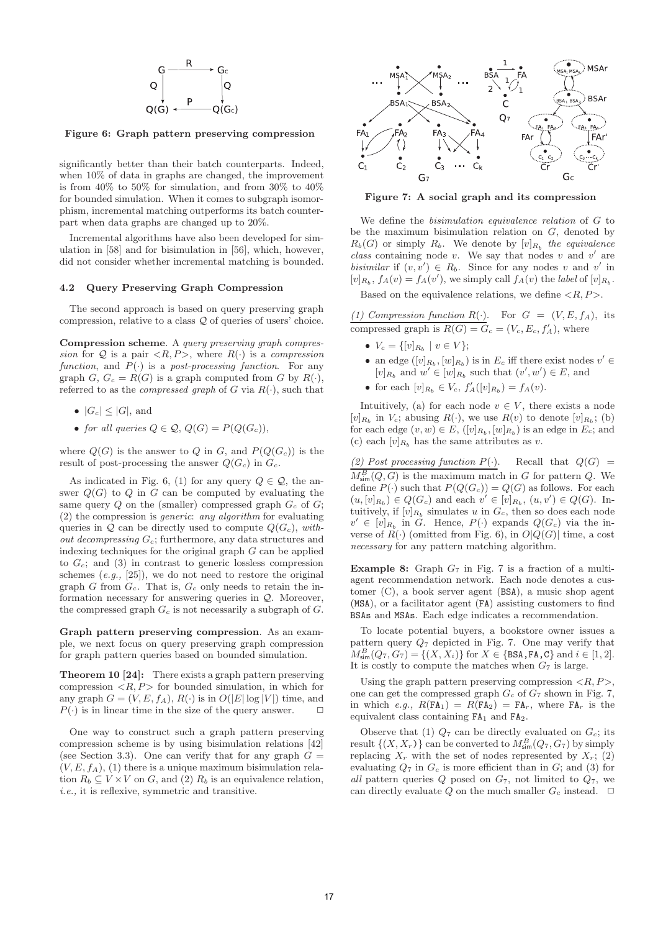

**Figure 6: Graph pattern preserving compression**

significantly better than their batch counterparts. Indeed, when 10% of data in graphs are changed, the improvement is from 40% to 50% for simulation, and from 30% to 40% for bounded simulation. When it comes to subgraph isomorphism, incremental matching outperforms its batch counterpart when data graphs are changed up to 20%.

Incremental algorithms have also been developed for simulation in [58] and for bisimulation in [56], which, however, did not consider whether incremental matching is bounded.

#### **4.2 Query Preserving Graph Compression**

The second approach is based on query preserving graph compression, relative to a class Q of queries of users' choice.

**Compression scheme**. A query preserving graph compression for Q is a pair  $\langle R, P \rangle$ , where  $R(\cdot)$  is a compression function, and  $P(\cdot)$  is a post-processing function. For any graph G,  $G_c = R(G)$  is a graph computed from G by  $R(\cdot)$ , referred to as the *compressed graph* of  $G$  via  $R(\cdot)$ , such that

- $|G_c| \leq |G|$ , and
- for all queries  $Q \in \mathcal{Q}, Q(G) = P(Q(G_c)),$

where  $Q(G)$  is the answer to Q in G, and  $P(Q(G<sub>c</sub>))$  is the result of post-processing the answer  $Q(G_c)$  in  $G_c$ .

As indicated in Fig. 6, (1) for any query  $Q \in \mathcal{Q}$ , the answer  $Q(G)$  to Q in G can be computed by evaluating the same query  $Q$  on the (smaller) compressed graph  $G_c$  of  $G$ ; (2) the compression is generic: any algorithm for evaluating queries in  $\mathcal{Q}$  can be directly used to compute  $Q(G_c)$ , with*out decompressing*  $G_c$ ; furthermore, any data structures and indexing techniques for the original graph  $G$  can be applied to  $G_c$ ; and (3) in contrast to generic lossless compression schemes  $(e.g., [25])$ , we do not need to restore the original graph  $G$  from  $G_c$ . That is,  $G_c$  only needs to retain the information necessary for answering queries in  $Q$ . Moreover, the compressed graph  $G_c$  is not necessarily a subgraph of  $G$ .

**Graph pattern preserving compression**. As an example, we next focus on query preserving graph compression for graph pattern queries based on bounded simulation.

**Theorem 10 [24]:** There exists a graph pattern preserving compression  $\langle R, P \rangle$  for bounded simulation, in which for any graph  $G = (V, E, f_A), R(\cdot)$  is in  $O(|E| \log |V|)$  time, and  $P(\cdot)$  is in linear time in the size of the query answer.  $\Box$ 

One way to construct such a graph pattern preserving compression scheme is by using bisimulation relations [42] (see Section 3.3). One can verify that for any graph  $G =$  $(V, E, f<sub>A</sub>),$  (1) there is a unique maximum bisimulation relation  $R_b \subseteq V \times V$  on G, and (2)  $R_b$  is an equivalence relation, i.e., it is reflexive, symmetric and transitive.



**Figure 7: A social graph and its compression**

We define the bisimulation equivalence relation of G to be the maximum bisimulation relation on  $G$ , denoted by  $R_b(G)$  or simply  $R_b$ . We denote by  $[v]_{R_b}$  the equivalence class containing node  $v$ . We say that nodes  $v$  and  $v'$  are bisimilar if  $(v, v') \in R_b$ . Since for any nodes v and v' in  $[v]_{R_b}$ ,  $f_A(v) = f_A(v')$ , we simply call  $f_A(v)$  the *label* of  $[v]_{R_b}$ .

Based on the equivalence relations, we define  $\langle R, P \rangle$ .

(1) Compression function  $R(\cdot)$ . For  $G = (V, E, f_A)$ , its compressed graph is  $R(G) = G_c = (V_c, E_c, f'_A)$ , where

- $V_c = \{ [v]_{R_b} \mid v \in V \};$
- an edge  $([v]_{R_b}, [w]_{R_b})$  is in  $E_c$  iff there exist nodes  $v' \in$  $[v]_{R_b}$  and  $w' \in [w]_{R_b}$  such that  $(v', w') \in E$ , and

• for each  $[v]_{R_b} \in V_c$ ,  $f'_A([v]_{R_b}) = f_A(v)$ .

Intuitively, (a) for each node  $v \in V$ , there exists a node  $[v]_{R_b}$  in  $V_c$ ; abusing  $R(\cdot)$ , we use  $R(v)$  to denote  $[v]_{R_b}$ ; (b) for each edge  $(v, w) \in E$ ,  $([v]_{R_b}, [w]_{R_b})$  is an edge in  $E_c$ ; and (c) each  $[v]_{R_b}$  has the same attributes as v.

(2) Post processing function  $P(\cdot)$ . Recall that  $Q(G)$  =  $M_{\text{sim}}^B(Q, G)$  is the maximum match in G for pattern Q. We define  $P(\cdot)$  such that  $P(Q(G_c)) = Q(G)$  as follows. For each  $(u, [v]_{R_b}) \in Q(G_c)$  and each  $v' \in [v]_{R_b}$ ,  $(u, v') \in Q(G)$ . Intuitively, if  $[v]_{R_b}$  simulates u in  $G_c$ , then so does each node  $v' \in [v]_{R_b}$  in G. Hence,  $P(\cdot)$  expands  $Q(G_c)$  via the inverse of  $R(\cdot)$  (omitted from Fig. 6), in  $O|Q(G)|$  time, a cost necessary for any pattern matching algorithm.

**Example 8:** Graph  $G_7$  in Fig. 7 is a fraction of a multiagent recommendation network. Each node denotes a customer (C), a book server agent (BSA), a music shop agent (MSA), or a facilitator agent (FA) assisting customers to find BSAs and MSAs. Each edge indicates a recommendation.

To locate potential buyers, a bookstore owner issues a pattern query  $Q_7$  depicted in Fig. 7. One may verify that  $M_{\text{sim}}^B(Q_7, G_7) = \{(X, X_i)\}\text{ for } X \in \{\texttt{BSA}, \texttt{FA}, \texttt{C}\}\text{ and } i \in [1, 2].$ It is costly to compute the matches when  $G_7$  is large.

Using the graph pattern preserving compression  $\langle R, P \rangle$ , one can get the compressed graph  $G_c$  of  $G_7$  shown in Fig. 7, in which e.g.,  $R(\text{FA}_1) = R(\text{FA}_2) = \text{FA}_r$ , where  $\text{FA}_r$  is the equivalent class containing FA<sup>1</sup> and FA2.

Observe that (1)  $Q_7$  can be directly evaluated on  $G_c$ ; its result  $\{(X, X_r)\}\)$  can be converted to  $M^B_{\text{sim}}(Q_7, G_7)$  by simply replacing  $X_r$  with the set of nodes represented by  $X_r$ ; (2) evaluating  $Q_7$  in  $G_c$  is more efficient than in  $G$ ; and (3) for all pattern queries  $Q$  posed on  $G_7$ , not limited to  $Q_7$ , we can directly evaluate Q on the much smaller  $G_c$  instead.  $\Box$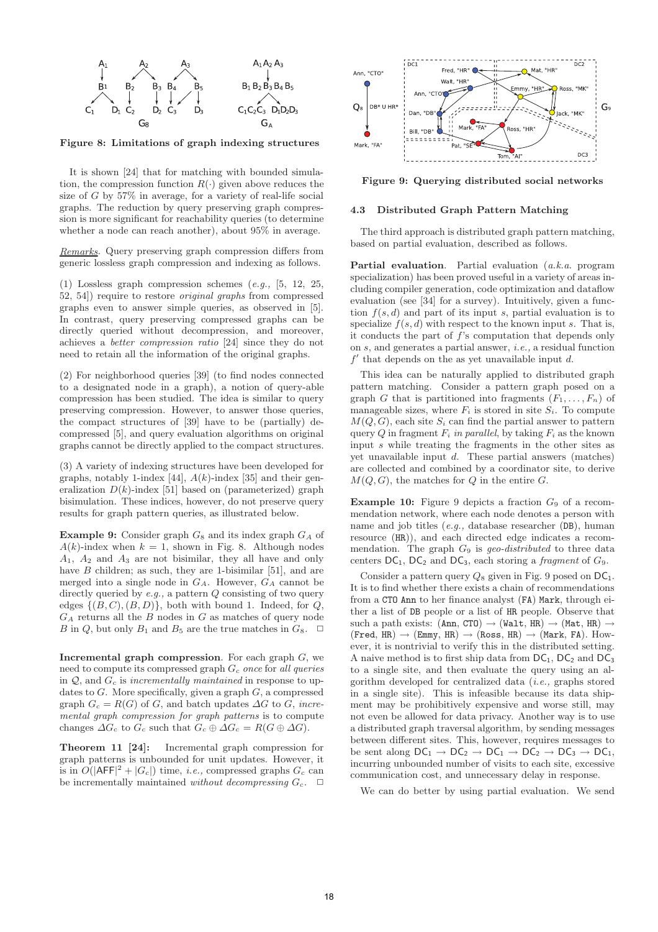

**Figure 8: Limitations of graph indexing structures**

It is shown [24] that for matching with bounded simulation, the compression function  $R(\cdot)$  given above reduces the size of  $G$  by 57% in average, for a variety of real-life social graphs. The reduction by query preserving graph compression is more significant for reachability queries (to determine whether a node can reach another), about 95% in average.

Remarks. Query preserving graph compression differs from generic lossless graph compression and indexing as follows.

(1) Lossless graph compression schemes (e.g., [5, 12, 25, 52, 54]) require to restore original graphs from compressed graphs even to answer simple queries, as observed in [5]. In contrast, query preserving compressed graphs can be directly queried without decompression, and moreover, achieves a better compression ratio [24] since they do not need to retain all the information of the original graphs.

(2) For neighborhood queries [39] (to find nodes connected to a designated node in a graph), a notion of query-able compression has been studied. The idea is similar to query preserving compression. However, to answer those queries, the compact structures of [39] have to be (partially) decompressed [5], and query evaluation algorithms on original graphs cannot be directly applied to the compact structures.

(3) A variety of indexing structures have been developed for graphs, notably 1-index [44],  $A(k)$ -index [35] and their generalization  $D(k)$ -index [51] based on (parameterized) graph bisimulation. These indices, however, do not preserve query results for graph pattern queries, as illustrated below.

**Example 9:** Consider graph  $G_8$  and its index graph  $G_A$  of  $A(k)$ -index when  $k = 1$ , shown in Fig. 8. Although nodes  $A_1$ ,  $A_2$  and  $A_3$  are not bisimilar, they all have and only have  $B$  children; as such, they are 1-bisimilar [51], and are merged into a single node in  $G_A$ . However,  $G_A$  cannot be directly queried by  $e.g.,$  a pattern  $Q$  consisting of two query edges  $\{(B, C), (B, D)\}\$ , both with bound 1. Indeed, for Q,  $G_A$  returns all the  $B$  nodes in  $G$  as matches of query node B in Q, but only  $B_1$  and  $B_5$  are the true matches in  $G_8$ .  $\Box$ 

**Incremental graph compression**. For each graph G, we need to compute its compressed graph  $G_c$  once for all queries in  $Q$ , and  $G_c$  is incrementally maintained in response to updates to  $G$ . More specifically, given a graph  $G$ , a compressed graph  $G_c = R(G)$  of G, and batch updates  $\Delta G$  to G, incremental graph compression for graph patterns is to compute changes  $\Delta G_c$  to  $G_c$  such that  $G_c \oplus \Delta G_c = R(G \oplus \Delta G)$ .

**Theorem 11 [24]:** Incremental graph compression for graph patterns is unbounded for unit updates. However, it is in  $O(|AFF|^2 + |G_c|)$  time, *i.e.*, compressed graphs  $G_c$  can be incrementally maintained without decompressing  $G_c$ .  $\Box$ 



**Figure 9: Querying distributed social networks**

## **4.3 Distributed Graph Pattern Matching**

The third approach is distributed graph pattern matching, based on partial evaluation, described as follows.

**Partial evaluation.** Partial evaluation (a.k.a. program specialization) has been proved useful in a variety of areas including compiler generation, code optimization and dataflow evaluation (see [34] for a survey). Intuitively, given a function  $f(s, d)$  and part of its input s, partial evaluation is to specialize  $f(s, d)$  with respect to the known input s. That is, it conducts the part of f's computation that depends only on s, and generates a partial answer, i.e., a residual function  $f'$  that depends on the as yet unavailable input d.

This idea can be naturally applied to distributed graph pattern matching. Consider a pattern graph posed on a graph G that is partitioned into fragments  $(F_1, \ldots, F_n)$  of manageable sizes, where  $F_i$  is stored in site  $S_i$ . To compute  $M(Q, G)$ , each site  $S_i$  can find the partial answer to pattern query Q in fragment  $F_i$  in parallel, by taking  $F_i$  as the known input s while treating the fragments in the other sites as yet unavailable input d. These partial answers (matches) are collected and combined by a coordinator site, to derive  $M(Q, G)$ , the matches for Q in the entire G.

**Example 10:** Figure 9 depicts a fraction  $G_9$  of a recommendation network, where each node denotes a person with name and job titles (e.g., database researcher (DB), human resource (HR)), and each directed edge indicates a recommendation. The graph  $G_9$  is geo-distributed to three data centers  $DC_1$ ,  $DC_2$  and  $DC_3$ , each storing a *fragment* of  $G_9$ .

Consider a pattern query  $Q_8$  given in Fig. 9 posed on  $DC_1$ . It is to find whether there exists a chain of recommendations from a CTO Ann to her finance analyst (FA) Mark, through either a list of DB people or a list of HR people. Observe that such a path exists:  $(Ann, CTO) \rightarrow (Walt, HR) \rightarrow (Mat, HR) \rightarrow$  $(Fred, HR) \rightarrow (Emmy, HR) \rightarrow (Ross, HR) \rightarrow (Mark, FA)$ . However, it is nontrivial to verify this in the distributed setting. A naive method is to first ship data from  $DC_1$ ,  $DC_2$  and  $DC_3$ to a single site, and then evaluate the query using an algorithm developed for centralized data (i.e., graphs stored in a single site). This is infeasible because its data shipment may be prohibitively expensive and worse still, may not even be allowed for data privacy. Another way is to use a distributed graph traversal algorithm, by sending messages between different sites. This, however, requires messages to be sent along  $DC_1 \rightarrow DC_2 \rightarrow DC_1 \rightarrow DC_2 \rightarrow DC_3 \rightarrow DC_1$ , incurring unbounded number of visits to each site, excessive communication cost, and unnecessary delay in response.

We can do better by using partial evaluation. We send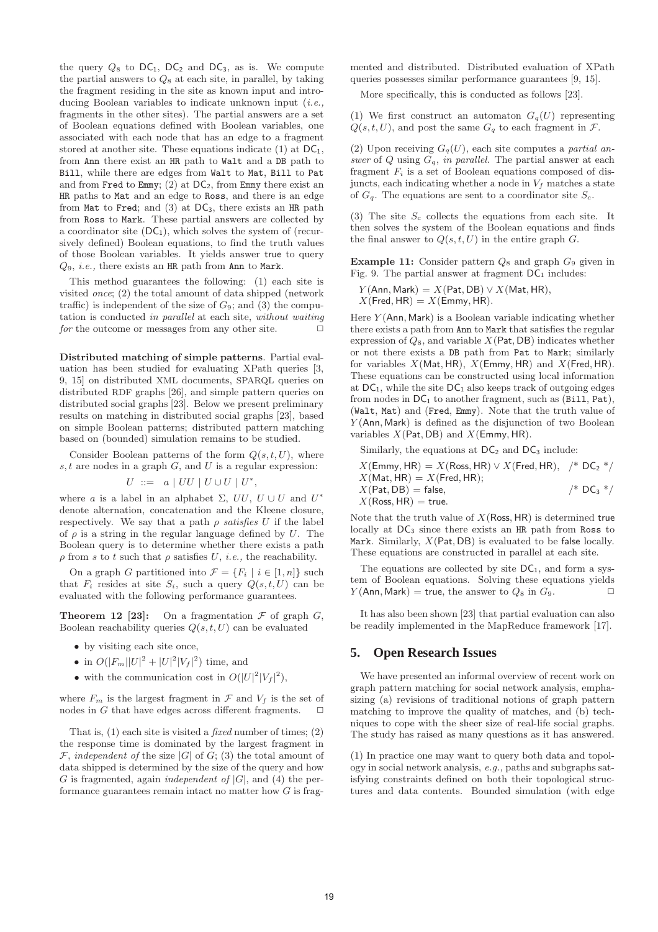the query  $Q_8$  to  $DC_1$ ,  $DC_2$  and  $DC_3$ , as is. We compute the partial answers to  $Q_8$  at each site, in parallel, by taking the fragment residing in the site as known input and introducing Boolean variables to indicate unknown input *(i.e.,* fragments in the other sites). The partial answers are a set of Boolean equations defined with Boolean variables, one associated with each node that has an edge to a fragment stored at another site. These equations indicate (1) at  $DC_1$ , from Ann there exist an HR path to Walt and a DB path to Bill, while there are edges from Walt to Mat, Bill to Pat and from Fred to Emmy; (2) at  $DC_2$ , from Emmy there exist an HR paths to Mat and an edge to Ross, and there is an edge from Mat to Fred; and  $(3)$  at DC<sub>3</sub>, there exists an HR path from Ross to Mark. These partial answers are collected by a coordinator site  $(DC_1)$ , which solves the system of (recursively defined) Boolean equations, to find the truth values of those Boolean variables. It yields answer true to query  $Q_9$ , *i.e.*, there exists an HR path from Ann to Mark.

This method guarantees the following: (1) each site is visited once; (2) the total amount of data shipped (network traffic) is independent of the size of  $G_9$ ; and (3) the computation is conducted in parallel at each site, without waiting for the outcome or messages from any other site.  $\Box$ 

**Distributed matching of simple patterns**. Partial evaluation has been studied for evaluating XPath queries [3, 9, 15] on distributed XML documents, SPARQL queries on distributed RDF graphs [26], and simple pattern queries on distributed social graphs [23]. Below we present preliminary results on matching in distributed social graphs [23], based on simple Boolean patterns; distributed pattern matching based on (bounded) simulation remains to be studied.

Consider Boolean patterns of the form  $Q(s, t, U)$ , where  $s, t$  are nodes in a graph  $G$ , and  $U$  is a regular expression:

$$
U ::= a | UU | U \cup U | U^*,
$$

where a is a label in an alphabet  $\Sigma$ ,  $UU$ ,  $U \cup U$  and  $U^*$ denote alternation, concatenation and the Kleene closure, respectively. We say that a path  $\rho$  satisfies U if the label of  $\rho$  is a string in the regular language defined by U. The Boolean query is to determine whether there exists a path  $\rho$  from s to t such that  $\rho$  satisfies U, *i.e.*, the reachability.

On a graph G partitioned into  $\mathcal{F} = \{F_i \mid i \in [1, n]\}\$  such that  $F_i$  resides at site  $S_i$ , such a query  $Q(s,t,U)$  can be evaluated with the following performance guarantees.

**Theorem 12 [23]:** On a fragmentation  $F$  of graph  $G$ , Boolean reachability queries  $Q(s, t, U)$  can be evaluated

- by visiting each site once.
- in  $O(|F_m||U|^2 + |U|^2|V_f|^2)$  time, and
- with the communication cost in  $O(|U|^2|V_f|^2)$ ,

where  $F_m$  is the largest fragment in  $\mathcal F$  and  $V_f$  is the set of nodes in G that have edges across different fragments.  $\Box$ 

That is,  $(1)$  each site is visited a *fixed* number of times;  $(2)$ the response time is dominated by the largest fragment in  $\mathcal F$ , independent of the size  $|G|$  of  $G$ ; (3) the total amount of data shipped is determined by the size of the query and how G is fragmented, again *independent of*  $|G|$ , and (4) the performance guarantees remain intact no matter how  $G$  is frag-

mented and distributed. Distributed evaluation of XPath queries possesses similar performance guarantees [9, 15].

More specifically, this is conducted as follows [23].

(1) We first construct an automaton  $G_q(U)$  representing  $Q(s, t, U)$ , and post the same  $G_q$  to each fragment in  $\mathcal{F}$ .

(2) Upon receiving  $G_q(U)$ , each site computes a partial answer of  $Q$  using  $G_q$ , in parallel. The partial answer at each fragment  $F_i$  is a set of Boolean equations composed of disjuncts, each indicating whether a node in  $V_f$  matches a state of  $G_q$ . The equations are sent to a coordinator site  $S_c$ .

(3) The site  $S_c$  collects the equations from each site. It then solves the system of the Boolean equations and finds the final answer to  $Q(s, t, U)$  in the entire graph G.

**Example 11:** Consider pattern  $Q_8$  and graph  $G_9$  given in Fig. 9. The partial answer at fragment  $DC_1$  includes:

 $Y$ (Ann, Mark) =  $X$ (Pat, DB)  $\vee$   $X$ (Mat, HR),  $X(Fred, HR) = X(Emmy, HR).$ 

Here  $Y$  (Ann, Mark) is a Boolean variable indicating whether there exists a path from Ann to Mark that satisfies the regular expression of  $Q_8$ , and variable  $X$ (Pat, DB) indicates whether or not there exists a DB path from Pat to Mark; similarly for variables  $X(Mat, HR)$ ,  $X(\text{Emmy}, HR)$  and  $X(\text{Fred}, HR)$ . These equations can be constructed using local information at  $DC_1$ , while the site  $DC_1$  also keeps track of outgoing edges from nodes in  $DC_1$  to another fragment, such as (Bill, Pat), (Walt, Mat) and (Fred, Emmy). Note that the truth value of  $Y$ (Ann, Mark) is defined as the disjunction of two Boolean variables  $X$ (Pat, DB) and  $X$ (Emmy, HR).

Similarly, the equations at  $DC_2$  and  $DC_3$  include:

 $X(\mathsf{Emmy}, \mathsf{HR}) = X(\mathsf{Ross}, \mathsf{HR}) \vee X(\mathsf{Fred}, \mathsf{HR}),$  /\*  $\mathsf{DC}_2$  \*/  $X(Mat, HR) = X(Fred, HR);$  $X(\text{Pat}, \text{DB}) = \text{false},$  /\* DC<sub>3</sub> \*/  $X(Ross, HR) = true.$ 

Note that the truth value of  $X$ (Ross, HR) is determined true locally at  $DC_3$  since there exists an HR path from Ross to Mark. Similarly,  $X$ (Pat, DB) is evaluated to be false locally. These equations are constructed in parallel at each site.

The equations are collected by site  $DC_1$ , and form a system of Boolean equations. Solving these equations yields  $Y(\text{Ann}, \text{Mark}) = \text{true}$ , the answer to  $Q_8$  in  $G_9$ .

It has also been shown [23] that partial evaluation can also be readily implemented in the MapReduce framework [17].

## **5. Open Research Issues**

We have presented an informal overview of recent work on graph pattern matching for social network analysis, emphasizing (a) revisions of traditional notions of graph pattern matching to improve the quality of matches, and (b) techniques to cope with the sheer size of real-life social graphs. The study has raised as many questions as it has answered.

(1) In practice one may want to query both data and topology in social network analysis, e.g., paths and subgraphs satisfying constraints defined on both their topological structures and data contents. Bounded simulation (with edge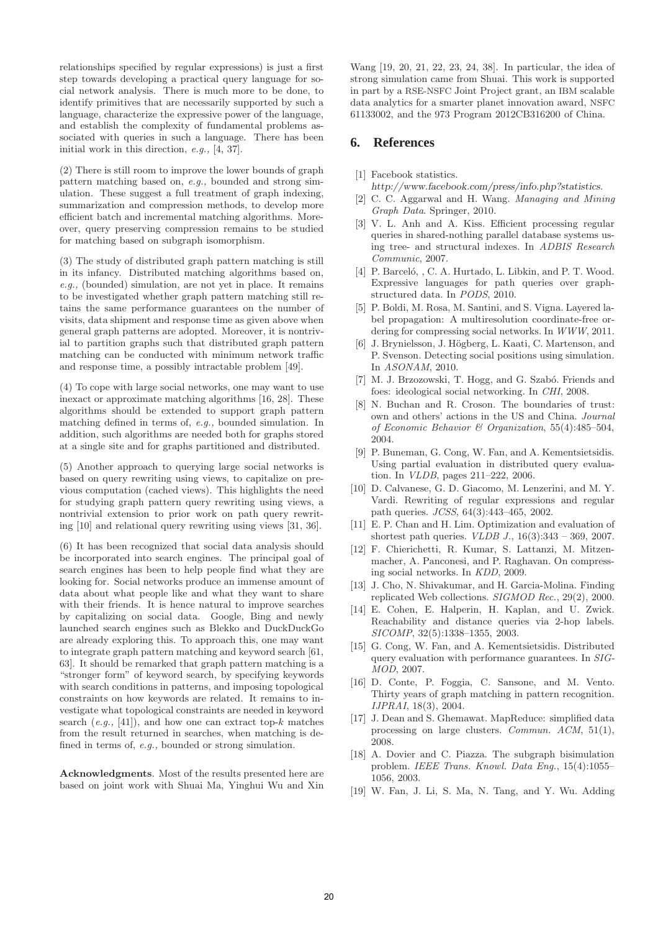relationships specified by regular expressions) is just a first step towards developing a practical query language for social network analysis. There is much more to be done, to identify primitives that are necessarily supported by such a language, characterize the expressive power of the language, and establish the complexity of fundamental problems associated with queries in such a language. There has been initial work in this direction, e.g., [4, 37].

(2) There is still room to improve the lower bounds of graph pattern matching based on, e.g., bounded and strong simulation. These suggest a full treatment of graph indexing, summarization and compression methods, to develop more efficient batch and incremental matching algorithms. Moreover, query preserving compression remains to be studied for matching based on subgraph isomorphism.

(3) The study of distributed graph pattern matching is still in its infancy. Distributed matching algorithms based on, e.g., (bounded) simulation, are not yet in place. It remains to be investigated whether graph pattern matching still retains the same performance guarantees on the number of visits, data shipment and response time as given above when general graph patterns are adopted. Moreover, it is nontrivial to partition graphs such that distributed graph pattern matching can be conducted with minimum network traffic and response time, a possibly intractable problem [49].

(4) To cope with large social networks, one may want to use inexact or approximate matching algorithms [16, 28]. These algorithms should be extended to support graph pattern matching defined in terms of, e.g., bounded simulation. In addition, such algorithms are needed both for graphs stored at a single site and for graphs partitioned and distributed.

(5) Another approach to querying large social networks is based on query rewriting using views, to capitalize on previous computation (cached views). This highlights the need for studying graph pattern query rewriting using views, a nontrivial extension to prior work on path query rewriting [10] and relational query rewriting using views [31, 36].

(6) It has been recognized that social data analysis should be incorporated into search engines. The principal goal of search engines has been to help people find what they are looking for. Social networks produce an immense amount of data about what people like and what they want to share with their friends. It is hence natural to improve searches by capitalizing on social data. Google, Bing and newly launched search engines such as Blekko and DuckDuckGo are already exploring this. To approach this, one may want to integrate graph pattern matching and keyword search [61, 63]. It should be remarked that graph pattern matching is a "stronger form" of keyword search, by specifying keywords with search conditions in patterns, and imposing topological constraints on how keywords are related. It remains to investigate what topological constraints are needed in keyword search  $(e.g., [41])$ , and how one can extract top- $k$  matches from the result returned in searches, when matching is defined in terms of, e.g., bounded or strong simulation.

**Acknowledgments**. Most of the results presented here are based on joint work with Shuai Ma, Yinghui Wu and Xin

Wang [19, 20, 21, 22, 23, 24, 38]. In particular, the idea of strong simulation came from Shuai. This work is supported in part by a RSE-NSFC Joint Project grant, an IBM scalable data analytics for a smarter planet innovation award, NSFC 61133002, and the 973 Program 2012CB316200 of China.

# **6. References**

### [1] Facebook statistics.

- http://www.facebook.com/press/info.php?statistics.
- [2] C. C. Aggarwal and H. Wang. Managing and Mining Graph Data. Springer, 2010.
- [3] V. L. Anh and A. Kiss. Efficient processing regular queries in shared-nothing parallel database systems using tree- and structural indexes. In ADBIS Research Communic, 2007.
- [4] P. Barceló, , C. A. Hurtado, L. Libkin, and P. T. Wood. Expressive languages for path queries over graphstructured data. In PODS, 2010.
- [5] P. Boldi, M. Rosa, M. Santini, and S. Vigna. Layered label propagation: A multiresolution coordinate-free ordering for compressing social networks. In WWW, 2011.
- [6] J. Brynielsson, J. Högberg, L. Kaati, C. Martenson, and P. Svenson. Detecting social positions using simulation. In ASONAM, 2010.
- [7] M. J. Brzozowski, T. Hogg, and G. Szabó. Friends and foes: ideological social networking. In CHI, 2008.
- [8] N. Buchan and R. Croson. The boundaries of trust: own and others' actions in the US and China. Journal of Economic Behavior & Organization, 55(4):485–504, 2004.
- [9] P. Buneman, G. Cong, W. Fan, and A. Kementsietsidis. Using partial evaluation in distributed query evaluation. In VLDB, pages 211–222, 2006.
- [10] D. Calvanese, G. D. Giacomo, M. Lenzerini, and M. Y. Vardi. Rewriting of regular expressions and regular path queries. JCSS, 64(3):443–465, 2002.
- [11] E. P. Chan and H. Lim. Optimization and evaluation of shortest path queries. *VLDB J.*,  $16(3):343 - 369$ , 2007.
- [12] F. Chierichetti, R. Kumar, S. Lattanzi, M. Mitzenmacher, A. Panconesi, and P. Raghavan. On compressing social networks. In KDD, 2009.
- [13] J. Cho, N. Shivakumar, and H. Garcia-Molina. Finding replicated Web collections. SIGMOD Rec., 29(2), 2000.
- [14] E. Cohen, E. Halperin, H. Kaplan, and U. Zwick. Reachability and distance queries via 2-hop labels. SICOMP, 32(5):1338–1355, 2003.
- [15] G. Cong, W. Fan, and A. Kementsietsidis. Distributed query evaluation with performance guarantees. In SIG-MOD, 2007.
- [16] D. Conte, P. Foggia, C. Sansone, and M. Vento. Thirty years of graph matching in pattern recognition. IJPRAI, 18(3), 2004.
- [17] J. Dean and S. Ghemawat. MapReduce: simplified data processing on large clusters. Commun. ACM, 51(1), 2008.
- [18] A. Dovier and C. Piazza. The subgraph bisimulation problem. IEEE Trans. Knowl. Data Eng., 15(4):1055– 1056, 2003.
- [19] W. Fan, J. Li, S. Ma, N. Tang, and Y. Wu. Adding